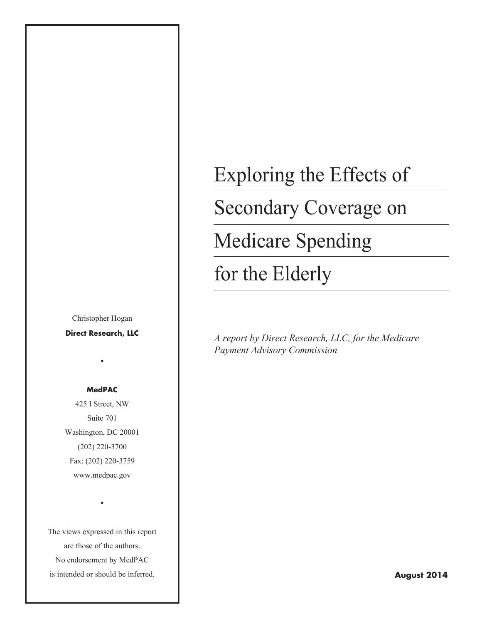Christopher Hogan

**Direct Research, LLC**

•

#### **MedPAC**

425 I Street, NW Suite 701 Washington, DC 20001 (202) 220-3700 Fax: (202) 220-3759 www.medpac.gov

The views expressed in this report are those of the authors. No endorsement by MedPAC is intended or should be inferred.

•

# Exploring the Effects of Secondary Coverage on Medicare Spending for the Elderly

*A report by Direct Research, LLC, for the Medicare Payment Advisory Commission*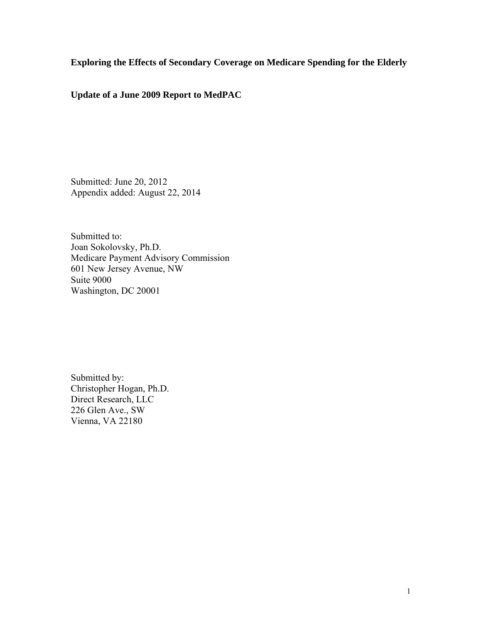**Exploring the Effects of Secondary Coverage on Medicare Spending for the Elderly** 

**Update of a June 2009 Report to MedPAC** 

Submitted: June 20, 2012 Appendix added: August 22, 2014

Submitted to: Joan Sokolovsky, Ph.D. Medicare Payment Advisory Commission 601 New Jersey Avenue, NW Suite 9000 Washington, DC 20001

Submitted by: Christopher Hogan, Ph.D. Direct Research, LLC 226 Glen Ave., SW Vienna, VA 22180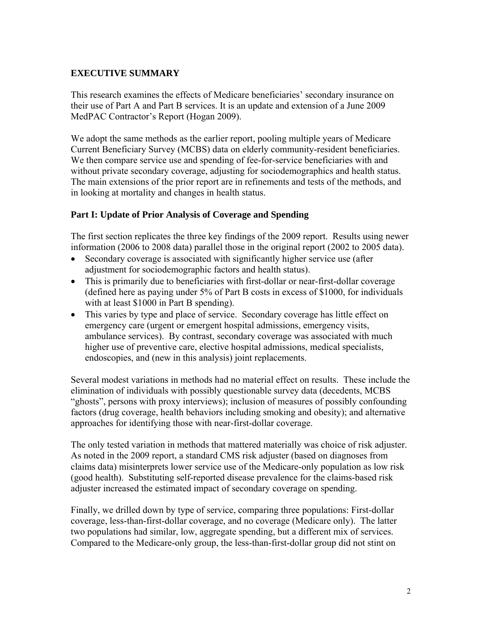# **EXECUTIVE SUMMARY**

This research examines the effects of Medicare beneficiaries' secondary insurance on their use of Part A and Part B services. It is an update and extension of a June 2009 MedPAC Contractor's Report (Hogan 2009).

We adopt the same methods as the earlier report, pooling multiple years of Medicare Current Beneficiary Survey (MCBS) data on elderly community-resident beneficiaries. We then compare service use and spending of fee-for-service beneficiaries with and without private secondary coverage, adjusting for sociodemographics and health status. The main extensions of the prior report are in refinements and tests of the methods, and in looking at mortality and changes in health status.

#### **Part I: Update of Prior Analysis of Coverage and Spending**

The first section replicates the three key findings of the 2009 report. Results using newer information (2006 to 2008 data) parallel those in the original report (2002 to 2005 data).

- Secondary coverage is associated with significantly higher service use (after adjustment for sociodemographic factors and health status).
- This is primarily due to beneficiaries with first-dollar or near-first-dollar coverage (defined here as paying under 5% of Part B costs in excess of \$1000, for individuals with at least \$1000 in Part B spending).
- This varies by type and place of service. Secondary coverage has little effect on emergency care (urgent or emergent hospital admissions, emergency visits, ambulance services). By contrast, secondary coverage was associated with much higher use of preventive care, elective hospital admissions, medical specialists, endoscopies, and (new in this analysis) joint replacements.

Several modest variations in methods had no material effect on results. These include the elimination of individuals with possibly questionable survey data (decedents, MCBS "ghosts", persons with proxy interviews); inclusion of measures of possibly confounding factors (drug coverage, health behaviors including smoking and obesity); and alternative approaches for identifying those with near-first-dollar coverage.

The only tested variation in methods that mattered materially was choice of risk adjuster. As noted in the 2009 report, a standard CMS risk adjuster (based on diagnoses from claims data) misinterprets lower service use of the Medicare-only population as low risk (good health). Substituting self-reported disease prevalence for the claims-based risk adjuster increased the estimated impact of secondary coverage on spending.

Finally, we drilled down by type of service, comparing three populations: First-dollar coverage, less-than-first-dollar coverage, and no coverage (Medicare only). The latter two populations had similar, low, aggregate spending, but a different mix of services. Compared to the Medicare-only group, the less-than-first-dollar group did not stint on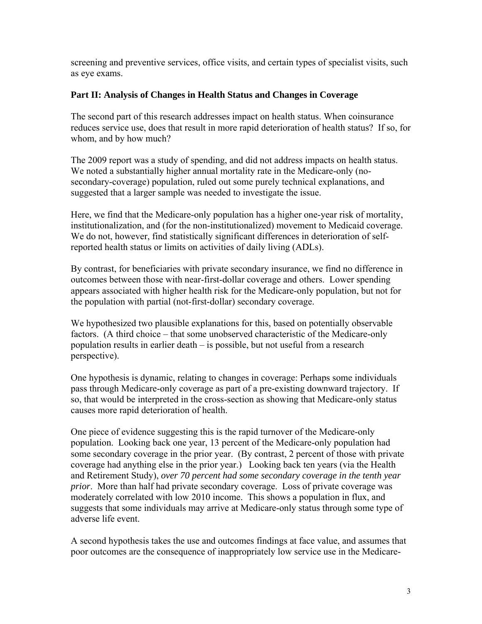screening and preventive services, office visits, and certain types of specialist visits, such as eye exams.

#### **Part II: Analysis of Changes in Health Status and Changes in Coverage**

The second part of this research addresses impact on health status. When coinsurance reduces service use, does that result in more rapid deterioration of health status? If so, for whom, and by how much?

The 2009 report was a study of spending, and did not address impacts on health status. We noted a substantially higher annual mortality rate in the Medicare-only (nosecondary-coverage) population, ruled out some purely technical explanations, and suggested that a larger sample was needed to investigate the issue.

Here, we find that the Medicare-only population has a higher one-year risk of mortality, institutionalization, and (for the non-institutionalized) movement to Medicaid coverage. We do not, however, find statistically significant differences in deterioration of selfreported health status or limits on activities of daily living (ADLs).

By contrast, for beneficiaries with private secondary insurance, we find no difference in outcomes between those with near-first-dollar coverage and others. Lower spending appears associated with higher health risk for the Medicare-only population, but not for the population with partial (not-first-dollar) secondary coverage.

We hypothesized two plausible explanations for this, based on potentially observable factors. (A third choice – that some unobserved characteristic of the Medicare-only population results in earlier death – is possible, but not useful from a research perspective).

One hypothesis is dynamic, relating to changes in coverage: Perhaps some individuals pass through Medicare-only coverage as part of a pre-existing downward trajectory. If so, that would be interpreted in the cross-section as showing that Medicare-only status causes more rapid deterioration of health.

One piece of evidence suggesting this is the rapid turnover of the Medicare-only population. Looking back one year, 13 percent of the Medicare-only population had some secondary coverage in the prior year. (By contrast, 2 percent of those with private coverage had anything else in the prior year.) Looking back ten years (via the Health and Retirement Study), *over 70 percent had some secondary coverage in the tenth year prior*. More than half had private secondary coverage. Loss of private coverage was moderately correlated with low 2010 income. This shows a population in flux, and suggests that some individuals may arrive at Medicare-only status through some type of adverse life event.

A second hypothesis takes the use and outcomes findings at face value, and assumes that poor outcomes are the consequence of inappropriately low service use in the Medicare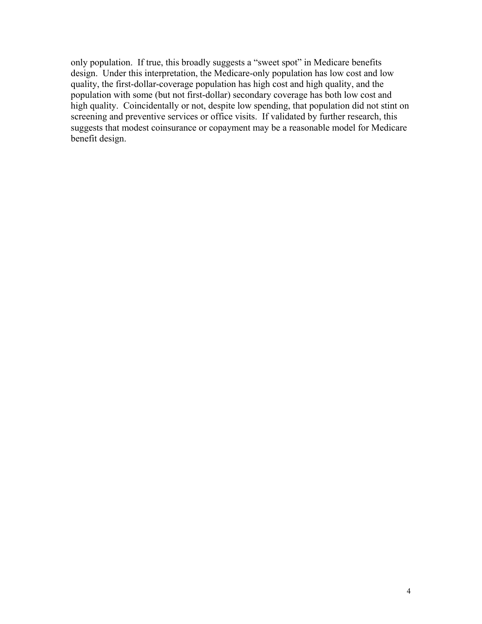only population. If true, this broadly suggests a "sweet spot" in Medicare benefits design. Under this interpretation, the Medicare-only population has low cost and low quality, the first-dollar-coverage population has high cost and high quality, and the population with some (but not first-dollar) secondary coverage has both low cost and high quality. Coincidentally or not, despite low spending, that population did not stint on screening and preventive services or office visits. If validated by further research, this suggests that modest coinsurance or copayment may be a reasonable model for Medicare benefit design.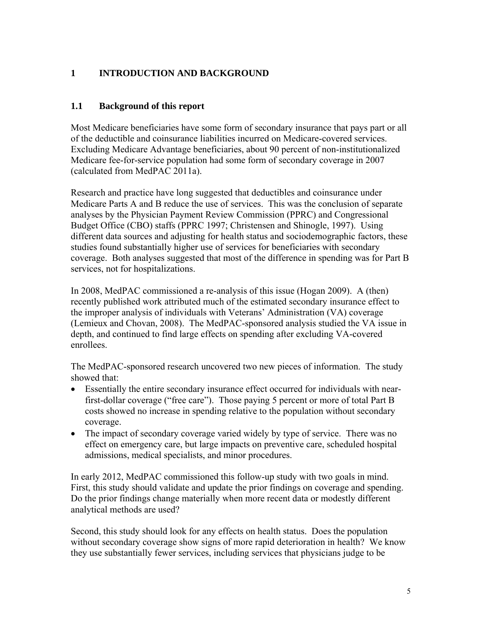# **1 INTRODUCTION AND BACKGROUND**

## **1.1 Background of this report**

Most Medicare beneficiaries have some form of secondary insurance that pays part or all of the deductible and coinsurance liabilities incurred on Medicare-covered services. Excluding Medicare Advantage beneficiaries, about 90 percent of non-institutionalized Medicare fee-for-service population had some form of secondary coverage in 2007 (calculated from MedPAC 2011a).

Research and practice have long suggested that deductibles and coinsurance under Medicare Parts A and B reduce the use of services. This was the conclusion of separate analyses by the Physician Payment Review Commission (PPRC) and Congressional Budget Office (CBO) staffs (PPRC 1997; Christensen and Shinogle, 1997). Using different data sources and adjusting for health status and sociodemographic factors, these studies found substantially higher use of services for beneficiaries with secondary coverage. Both analyses suggested that most of the difference in spending was for Part B services, not for hospitalizations.

In 2008, MedPAC commissioned a re-analysis of this issue (Hogan 2009). A (then) recently published work attributed much of the estimated secondary insurance effect to the improper analysis of individuals with Veterans' Administration (VA) coverage (Lemieux and Chovan, 2008). The MedPAC-sponsored analysis studied the VA issue in depth, and continued to find large effects on spending after excluding VA-covered enrollees.

The MedPAC-sponsored research uncovered two new pieces of information. The study showed that:

- Essentially the entire secondary insurance effect occurred for individuals with nearfirst-dollar coverage ("free care"). Those paying 5 percent or more of total Part B costs showed no increase in spending relative to the population without secondary coverage.
- The impact of secondary coverage varied widely by type of service. There was no effect on emergency care, but large impacts on preventive care, scheduled hospital admissions, medical specialists, and minor procedures.

In early 2012, MedPAC commissioned this follow-up study with two goals in mind. First, this study should validate and update the prior findings on coverage and spending. Do the prior findings change materially when more recent data or modestly different analytical methods are used?

Second, this study should look for any effects on health status. Does the population without secondary coverage show signs of more rapid deterioration in health? We know they use substantially fewer services, including services that physicians judge to be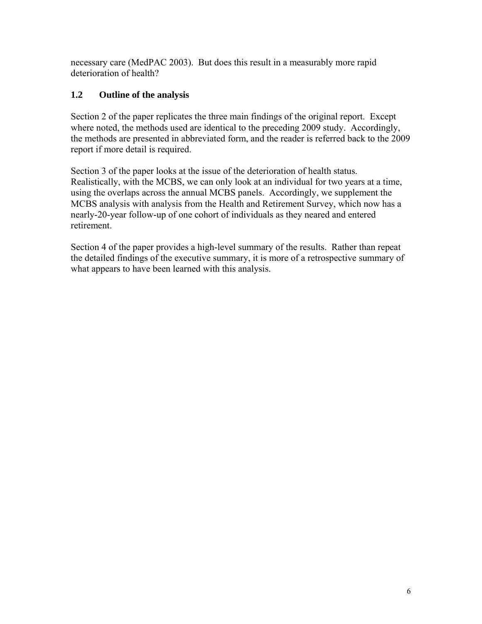necessary care (MedPAC 2003). But does this result in a measurably more rapid deterioration of health?

# **1.2 Outline of the analysis**

Section 2 of the paper replicates the three main findings of the original report. Except where noted, the methods used are identical to the preceding 2009 study. Accordingly, the methods are presented in abbreviated form, and the reader is referred back to the 2009 report if more detail is required.

Section 3 of the paper looks at the issue of the deterioration of health status. Realistically, with the MCBS, we can only look at an individual for two years at a time, using the overlaps across the annual MCBS panels. Accordingly, we supplement the MCBS analysis with analysis from the Health and Retirement Survey, which now has a nearly-20-year follow-up of one cohort of individuals as they neared and entered retirement.

Section 4 of the paper provides a high-level summary of the results. Rather than repeat the detailed findings of the executive summary, it is more of a retrospective summary of what appears to have been learned with this analysis.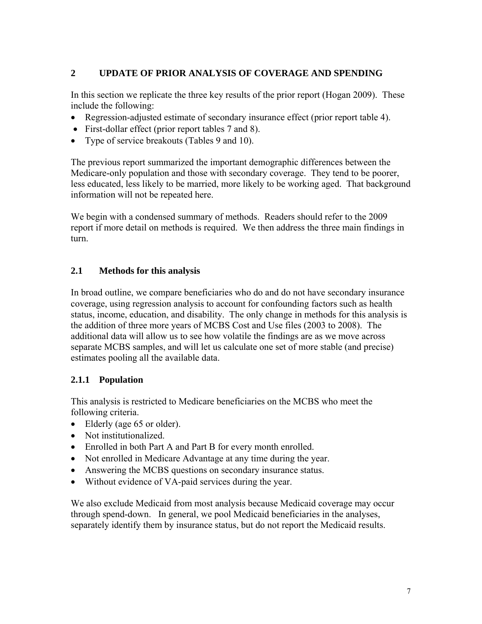# **2 UPDATE OF PRIOR ANALYSIS OF COVERAGE AND SPENDING**

In this section we replicate the three key results of the prior report (Hogan 2009). These include the following:

- Regression-adjusted estimate of secondary insurance effect (prior report table 4).
- First-dollar effect (prior report tables 7 and 8).
- Type of service breakouts (Tables 9 and 10).

The previous report summarized the important demographic differences between the Medicare-only population and those with secondary coverage. They tend to be poorer, less educated, less likely to be married, more likely to be working aged. That background information will not be repeated here.

We begin with a condensed summary of methods. Readers should refer to the 2009 report if more detail on methods is required. We then address the three main findings in turn.

## **2.1 Methods for this analysis**

In broad outline, we compare beneficiaries who do and do not have secondary insurance coverage, using regression analysis to account for confounding factors such as health status, income, education, and disability. The only change in methods for this analysis is the addition of three more years of MCBS Cost and Use files (2003 to 2008). The additional data will allow us to see how volatile the findings are as we move across separate MCBS samples, and will let us calculate one set of more stable (and precise) estimates pooling all the available data.

# **2.1.1 Population**

This analysis is restricted to Medicare beneficiaries on the MCBS who meet the following criteria.

- Elderly (age 65 or older).
- Not institutionalized.
- Enrolled in both Part A and Part B for every month enrolled.
- Not enrolled in Medicare Advantage at any time during the year.
- Answering the MCBS questions on secondary insurance status.
- Without evidence of VA-paid services during the year.

We also exclude Medicaid from most analysis because Medicaid coverage may occur through spend-down. In general, we pool Medicaid beneficiaries in the analyses, separately identify them by insurance status, but do not report the Medicaid results.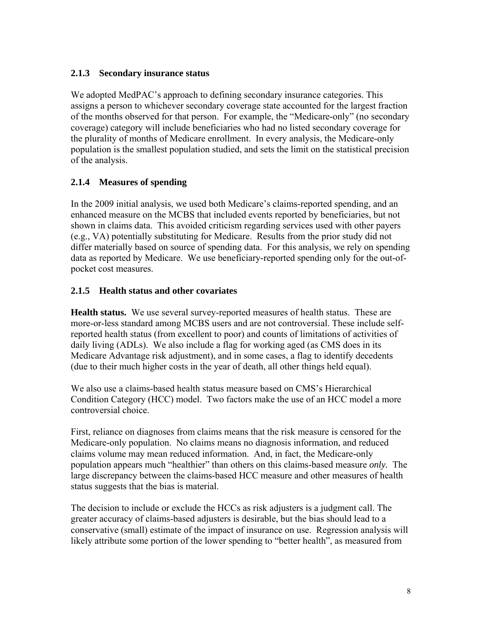## **2.1.3 Secondary insurance status**

We adopted MedPAC's approach to defining secondary insurance categories. This assigns a person to whichever secondary coverage state accounted for the largest fraction of the months observed for that person. For example, the "Medicare-only" (no secondary coverage) category will include beneficiaries who had no listed secondary coverage for the plurality of months of Medicare enrollment. In every analysis, the Medicare-only population is the smallest population studied, and sets the limit on the statistical precision of the analysis.

# **2.1.4 Measures of spending**

In the 2009 initial analysis, we used both Medicare's claims-reported spending, and an enhanced measure on the MCBS that included events reported by beneficiaries, but not shown in claims data. This avoided criticism regarding services used with other payers (e.g., VA) potentially substituting for Medicare. Results from the prior study did not differ materially based on source of spending data. For this analysis, we rely on spending data as reported by Medicare. We use beneficiary-reported spending only for the out-ofpocket cost measures.

## **2.1.5 Health status and other covariates**

**Health status.** We use several survey-reported measures of health status. These are more-or-less standard among MCBS users and are not controversial. These include selfreported health status (from excellent to poor) and counts of limitations of activities of daily living (ADLs). We also include a flag for working aged (as CMS does in its Medicare Advantage risk adjustment), and in some cases, a flag to identify decedents (due to their much higher costs in the year of death, all other things held equal).

We also use a claims-based health status measure based on CMS's Hierarchical Condition Category (HCC) model. Two factors make the use of an HCC model a more controversial choice.

First, reliance on diagnoses from claims means that the risk measure is censored for the Medicare-only population. No claims means no diagnosis information, and reduced claims volume may mean reduced information. And, in fact, the Medicare-only population appears much "healthier" than others on this claims-based measure *only.* The large discrepancy between the claims-based HCC measure and other measures of health status suggests that the bias is material.

The decision to include or exclude the HCCs as risk adjusters is a judgment call. The greater accuracy of claims-based adjusters is desirable, but the bias should lead to a conservative (small) estimate of the impact of insurance on use. Regression analysis will likely attribute some portion of the lower spending to "better health", as measured from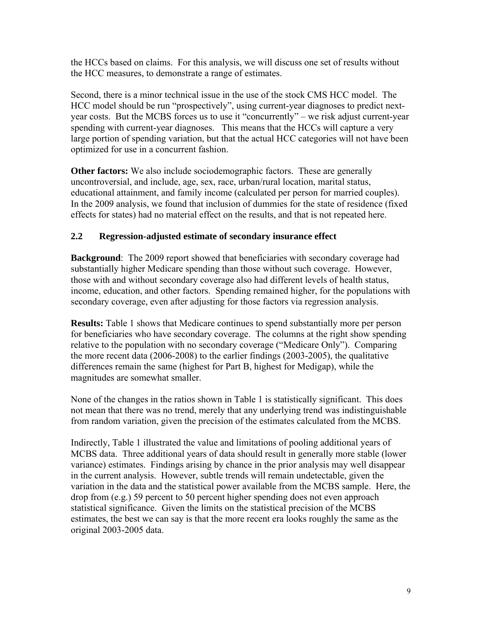the HCCs based on claims. For this analysis, we will discuss one set of results without the HCC measures, to demonstrate a range of estimates.

Second, there is a minor technical issue in the use of the stock CMS HCC model. The HCC model should be run "prospectively", using current-year diagnoses to predict nextyear costs. But the MCBS forces us to use it "concurrently" – we risk adjust current-year spending with current-year diagnoses. This means that the HCCs will capture a very large portion of spending variation, but that the actual HCC categories will not have been optimized for use in a concurrent fashion.

**Other factors:** We also include sociodemographic factors. These are generally uncontroversial, and include, age, sex, race, urban/rural location, marital status, educational attainment, and family income (calculated per person for married couples). In the 2009 analysis, we found that inclusion of dummies for the state of residence (fixed effects for states) had no material effect on the results, and that is not repeated here.

## **2.2 Regression-adjusted estimate of secondary insurance effect**

**Background**: The 2009 report showed that beneficiaries with secondary coverage had substantially higher Medicare spending than those without such coverage. However, those with and without secondary coverage also had different levels of health status, income, education, and other factors. Spending remained higher, for the populations with secondary coverage, even after adjusting for those factors via regression analysis.

**Results:** Table 1 shows that Medicare continues to spend substantially more per person for beneficiaries who have secondary coverage. The columns at the right show spending relative to the population with no secondary coverage ("Medicare Only"). Comparing the more recent data (2006-2008) to the earlier findings (2003-2005), the qualitative differences remain the same (highest for Part B, highest for Medigap), while the magnitudes are somewhat smaller.

None of the changes in the ratios shown in Table 1 is statistically significant. This does not mean that there was no trend, merely that any underlying trend was indistinguishable from random variation, given the precision of the estimates calculated from the MCBS.

Indirectly, Table 1 illustrated the value and limitations of pooling additional years of MCBS data. Three additional years of data should result in generally more stable (lower variance) estimates. Findings arising by chance in the prior analysis may well disappear in the current analysis. However, subtle trends will remain undetectable, given the variation in the data and the statistical power available from the MCBS sample. Here, the drop from (e.g.) 59 percent to 50 percent higher spending does not even approach statistical significance. Given the limits on the statistical precision of the MCBS estimates, the best we can say is that the more recent era looks roughly the same as the original 2003-2005 data.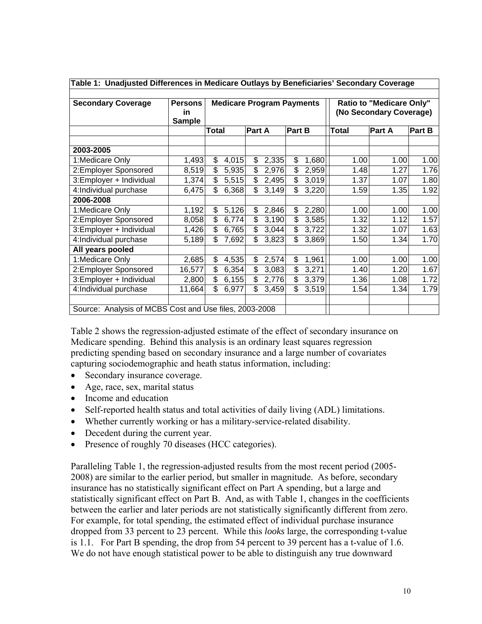| Table 1:  Unadjusted Differences in Medicare Outlays by Beneficiaries' Secondary Coverage |                |       |                                  |        |       |        |       |       |                                 |               |
|-------------------------------------------------------------------------------------------|----------------|-------|----------------------------------|--------|-------|--------|-------|-------|---------------------------------|---------------|
| <b>Secondary Coverage</b>                                                                 | <b>Persons</b> |       | <b>Medicare Program Payments</b> |        |       |        |       |       | <b>Ratio to "Medicare Only"</b> |               |
|                                                                                           | in.            |       |                                  |        |       |        |       |       | (No Secondary Coverage)         |               |
|                                                                                           | <b>Sample</b>  |       |                                  |        |       |        |       |       |                                 |               |
|                                                                                           |                | Total |                                  | Part A |       | Part B |       | Total | Part A                          | <b>Part B</b> |
|                                                                                           |                |       |                                  |        |       |        |       |       |                                 |               |
| 2003-2005                                                                                 |                |       |                                  |        |       |        |       |       |                                 |               |
| 1:Medicare Only                                                                           | 1,493          | \$    | 4,015                            | \$     | 2,335 | \$     | 1,680 | 1.00  | 1.00                            | 1.00          |
| 2:Employer Sponsored                                                                      | 8,519          | \$    | 5,935                            | \$     | 2,976 | \$     | 2,959 | 1.48  | 1.27                            | 1.76          |
| 3:Employer + Individual                                                                   | 1,374          | \$    | 5,515                            | \$     | 2,495 | \$     | 3,019 | 1.37  | 1.07                            | 1.80          |
| 4:Individual purchase                                                                     | 6,475          | \$    | 6,368                            | \$     | 3,149 | \$     | 3,220 | 1.59  | 1.35                            | 1.92          |
| 2006-2008                                                                                 |                |       |                                  |        |       |        |       |       |                                 |               |
| 1:Medicare Only                                                                           | 1,192          | \$    | 5,126                            | \$     | 2,846 | \$     | 2,280 | 1.00  | 1.00                            | 1.00          |
| 2:Employer Sponsored                                                                      | 8,058          | \$    | 6,774                            | \$     | 3,190 | \$     | 3,585 | 1.32  | 1.12                            | 1.57          |
| 3:Employer + Individual                                                                   | 1,426          | \$    | 6,765                            | \$     | 3,044 | \$     | 3,722 | 1.32  | 1.07                            | 1.63          |
| 4:Individual purchase                                                                     | 5,189          | \$    | 7,692                            | \$     | 3,823 | \$     | 3,869 | 1.50  | 1.34                            | 1.70          |
| All years pooled                                                                          |                |       |                                  |        |       |        |       |       |                                 |               |
| 1:Medicare Only                                                                           | 2,685          | \$    | 4,535                            | \$     | 2,574 | \$     | 1,961 | 1.00  | 1.00                            | 1.00          |
| 2: Employer Sponsored                                                                     | 16,577         | \$    | 6,354                            | \$     | 3,083 | \$     | 3,271 | 1.40  | 1.20                            | 1.67          |
| 3:Employer + Individual                                                                   | 2,800          | \$    | 6,155                            | \$     | 2,776 | \$     | 3,379 | 1.36  | 1.08                            | 1.72          |
| 4:Individual purchase                                                                     | 11,664         | \$.   | 6,977                            | \$.    | 3,459 | \$     | 3,519 | 1.54  | 1.34                            | 1.79          |
|                                                                                           |                |       |                                  |        |       |        |       |       |                                 |               |
| Source: Analysis of MCBS Cost and Use files, 2003-2008                                    |                |       |                                  |        |       |        |       |       |                                 |               |

**Table 1: Unadjusted Differences in Medicare Outlays by Beneficiaries' Secondary Coverage** 

Table 2 shows the regression-adjusted estimate of the effect of secondary insurance on Medicare spending. Behind this analysis is an ordinary least squares regression predicting spending based on secondary insurance and a large number of covariates capturing sociodemographic and heath status information, including:

- Secondary insurance coverage.
- Age, race, sex, marital status
- Income and education
- Self-reported health status and total activities of daily living (ADL) limitations.
- Whether currently working or has a military-service-related disability.
- Decedent during the current year.
- Presence of roughly 70 diseases (HCC categories).

Paralleling Table 1, the regression-adjusted results from the most recent period (2005- 2008) are similar to the earlier period, but smaller in magnitude. As before, secondary insurance has no statistically significant effect on Part A spending, but a large and statistically significant effect on Part B. And, as with Table 1, changes in the coefficients between the earlier and later periods are not statistically significantly different from zero. For example, for total spending, the estimated effect of individual purchase insurance dropped from 33 percent to 23 percent. While this *looks* large, the corresponding t-value is 1.1. For Part B spending, the drop from 54 percent to 39 percent has a t-value of 1.6. We do not have enough statistical power to be able to distinguish any true downward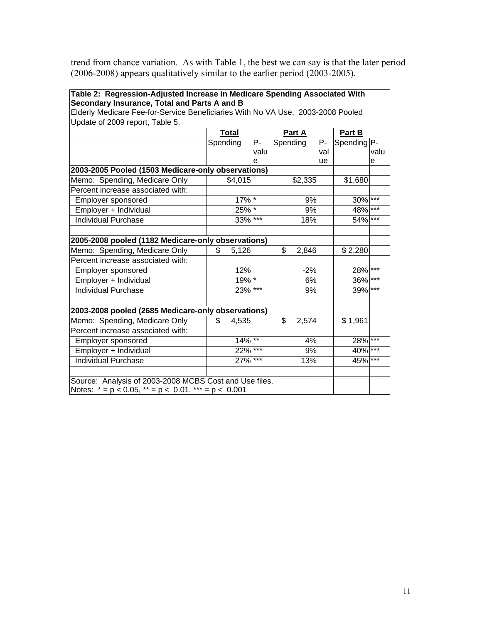trend from chance variation. As with Table 1, the best we can say is that the later period (2006-2008) appears qualitatively similar to the earlier period (2003-2005).

| Table 2: Regression-Adjusted Increase in Medicare Spending Associated With                                                      |               |       |             |     |             |       |
|---------------------------------------------------------------------------------------------------------------------------------|---------------|-------|-------------|-----|-------------|-------|
| Secondary Insurance, Total and Parts A and B<br>Elderly Medicare Fee-for-Service Beneficiaries With No VA Use, 2003-2008 Pooled |               |       |             |     |             |       |
| Update of 2009 report, Table 5.                                                                                                 |               |       |             |     |             |       |
|                                                                                                                                 | <b>Total</b>  |       | Part A      |     | Part B      |       |
|                                                                                                                                 | Spending      | P-    | Spending    | P-  | Spending P- |       |
|                                                                                                                                 |               | valu  |             | val |             | valu  |
|                                                                                                                                 |               | е     |             | ue  |             | e     |
| 2003-2005 Pooled (1503 Medicare-only observations)                                                                              |               |       |             |     |             |       |
| Memo: Spending, Medicare Only                                                                                                   | \$4,015       |       | \$2,335     |     | \$1,680     |       |
| Percent increase associated with:                                                                                               |               |       |             |     |             |       |
| <b>Employer sponsored</b>                                                                                                       | $17\sqrt{^*}$ |       | 9%          |     | $30\%$ ***  |       |
| Employer + Individual                                                                                                           | $25\sqrt{*}$  |       | 9%          |     | 48%         |       |
| <b>Individual Purchase</b>                                                                                                      | 33% ***       |       | 18%         |     | 54% ***     |       |
|                                                                                                                                 |               |       |             |     |             |       |
| 2005-2008 pooled (1182 Medicare-only observations)                                                                              |               |       |             |     |             |       |
| Memo: Spending, Medicare Only                                                                                                   | 5,126<br>\$   |       | \$<br>2,846 |     | \$2,280     |       |
| Percent increase associated with:                                                                                               |               |       |             |     |             |       |
| Employer sponsored                                                                                                              | 12%           |       | $-2%$       |     | 28% ***     |       |
| Employer + Individual                                                                                                           | $19\sqrt{^*}$ |       | 6%          |     | 36%         | $***$ |
| <b>Individual Purchase</b>                                                                                                      | $23\%$ ***    |       | 9%          |     | 39%         | $***$ |
| 2003-2008 pooled (2685 Medicare-only observations)                                                                              |               |       |             |     |             |       |
| Memo: Spending, Medicare Only                                                                                                   | 4,535<br>\$   |       | \$<br>2,574 |     | \$1,961     |       |
| Percent increase associated with:                                                                                               |               |       |             |     |             |       |
| Employer sponsored                                                                                                              | $14\%$ **     |       | 4%          |     | 28% ***     |       |
| Employer + Individual                                                                                                           | 22%           | $***$ | 9%          |     | 40%         | $***$ |
| Individual Purchase                                                                                                             | 27%           | $***$ | 13%         |     | 45%         | $***$ |
| Source: Analysis of 2003-2008 MCBS Cost and Use files.                                                                          |               |       |             |     |             |       |
| Notes: $* = p < 0.05$ , $* = p < 0.01$ , $** = p < 0.001$                                                                       |               |       |             |     |             |       |
|                                                                                                                                 |               |       |             |     |             |       |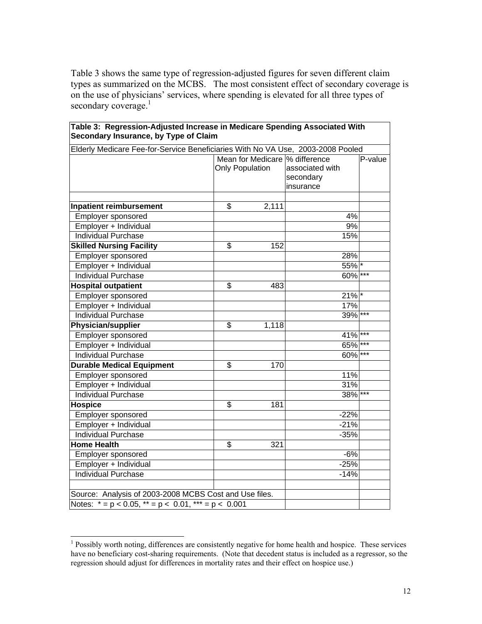Table 3 shows the same type of regression-adjusted figures for seven different claim types as summarized on the MCBS. The most consistent effect of secondary coverage is on the use of physicians' services, where spending is elevated for all three types of secondary coverage. $\frac{1}{1}$ 

| Elderly Medicare Fee-for-Service Beneficiaries With No VA Use, 2003-2008 Pooled |                         |       |                                 |         |
|---------------------------------------------------------------------------------|-------------------------|-------|---------------------------------|---------|
|                                                                                 |                         |       | Mean for Medicare \% difference | P-value |
|                                                                                 | <b>Only Population</b>  |       | associated with                 |         |
|                                                                                 |                         |       | secondary                       |         |
|                                                                                 |                         |       | insurance                       |         |
|                                                                                 |                         |       |                                 |         |
| <b>Inpatient reimbursement</b>                                                  | \$                      | 2,111 |                                 |         |
| Employer sponsored                                                              |                         |       | 4%                              |         |
| Employer + Individual                                                           |                         |       | 9%                              |         |
| <b>Individual Purchase</b>                                                      |                         |       | 15%                             |         |
| <b>Skilled Nursing Facility</b>                                                 | \$                      | 152   |                                 |         |
| Employer sponsored                                                              |                         |       | 28%                             |         |
| Employer + Individual                                                           |                         |       | $55\%$ *                        |         |
| <b>Individual Purchase</b>                                                      |                         |       | 60%                             | $***$   |
| <b>Hospital outpatient</b>                                                      | $\overline{\mathbf{S}}$ | 483   |                                 |         |
| Employer sponsored                                                              |                         |       | $21\%$ *                        |         |
| Employer + Individual                                                           |                         |       | 17%                             |         |
| <b>Individual Purchase</b>                                                      |                         |       | 39% ***                         |         |
| <b>Physician/supplier</b>                                                       | \$                      | 1,118 |                                 |         |
| Employer sponsored                                                              |                         |       | 41%                             | $***$   |
| Employer + Individual                                                           |                         |       | 65%                             | $***$   |
| <b>Individual Purchase</b>                                                      |                         |       | 60%                             | $***$   |
| <b>Durable Medical Equipment</b>                                                | \$                      | 170   |                                 |         |
| Employer sponsored                                                              |                         |       | 11%                             |         |
| Employer + Individual                                                           |                         |       | 31%                             |         |
| <b>Individual Purchase</b>                                                      |                         |       | 38%                             | $***$   |
| <b>Hospice</b>                                                                  | \$                      | 181   |                                 |         |
| Employer sponsored                                                              |                         |       | $-22%$                          |         |
| Employer + Individual                                                           |                         |       | $-21%$                          |         |
| <b>Individual Purchase</b>                                                      |                         |       | $-35%$                          |         |
| <b>Home Health</b>                                                              | \$                      | 321   |                                 |         |
| Employer sponsored                                                              |                         |       | $-6%$                           |         |
| Employer + Individual                                                           |                         |       | $-25%$                          |         |
| <b>Individual Purchase</b>                                                      |                         |       | $-14%$                          |         |
|                                                                                 |                         |       |                                 |         |
| Source: Analysis of 2003-2008 MCBS Cost and Use files.                          |                         |       |                                 |         |
| Notes: $* = p < 0.05$ , $* = p < 0.01$ , $* = p < 0.001$                        |                         |       |                                 |         |

#### **Table 3: Regression-Adjusted Increase in Medicare Spending Associated With Secondary Insurance, by Type of Claim**

<sup>&</sup>lt;sup>1</sup> Possibly worth noting, differences are consistently negative for home health and hospice. These services have no beneficiary cost-sharing requirements. (Note that decedent status is included as a regressor, so the regression should adjust for differences in mortality rates and their effect on hospice use.)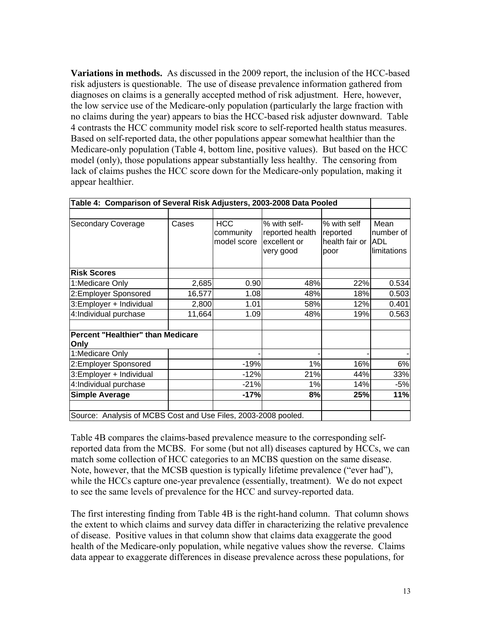**Variations in methods.** As discussed in the 2009 report, the inclusion of the HCC-based risk adjusters is questionable. The use of disease prevalence information gathered from diagnoses on claims is a generally accepted method of risk adjustment. Here, however, the low service use of the Medicare-only population (particularly the large fraction with no claims during the year) appears to bias the HCC-based risk adjuster downward. Table 4 contrasts the HCC community model risk score to self-reported health status measures. Based on self-reported data, the other populations appear somewhat healthier than the Medicare-only population (Table 4, bottom line, positive values). But based on the HCC model (only), those populations appear substantially less healthy. The censoring from lack of claims pushes the HCC score down for the Medicare-only population, making it appear healthier.

| Table 4: Comparison of Several Risk Adjusters, 2003-2008 Data Pooled |        |             |                 |                |             |
|----------------------------------------------------------------------|--------|-------------|-----------------|----------------|-------------|
|                                                                      |        |             |                 |                |             |
| <b>Secondary Coverage</b>                                            | Cases  | <b>HCC</b>  | % with self-    | % with self    | Mean        |
|                                                                      |        | community   | reported health | reported       | number of   |
|                                                                      |        | model score | excellent or    | health fair or | <b>ADL</b>  |
|                                                                      |        |             | very good       | poor           | limitations |
| <b>Risk Scores</b>                                                   |        |             |                 |                |             |
| 1:Medicare Only                                                      | 2,685  | 0.90        | 48%             | 22%            | 0.534       |
| 2:Employer Sponsored                                                 | 16,577 | 1.08        | 48%             | 18%            | 0.503       |
| 3: Employer + Individual                                             | 2,800  | 1.01        | 58%             | 12%            | 0.401       |
| 4:Individual purchase                                                | 11,664 | 1.09        | 48%             | 19%            | 0.563       |
| Percent "Healthier" than Medicare<br>Only                            |        |             |                 |                |             |
| 1:Medicare Only                                                      |        |             |                 |                |             |
| 2: Employer Sponsored                                                |        | $-19%$      | 1%              | 16%            | 6%          |
| 3: Employer + Individual                                             |        | $-12%$      | 21%             | 44%            | 33%         |
| 4:Individual purchase                                                |        | $-21%$      | 1%              | 14%            | $-5%$       |
| <b>Simple Average</b>                                                |        | $-17%$      | 8%              | 25%            | 11%         |
| Source: Analysis of MCBS Cost and Use Files, 2003-2008 pooled.       |        |             |                 |                |             |

Table 4B compares the claims-based prevalence measure to the corresponding selfreported data from the MCBS. For some (but not all) diseases captured by HCCs, we can match some collection of HCC categories to an MCBS question on the same disease. Note, however, that the MCSB question is typically lifetime prevalence ("ever had"), while the HCCs capture one-year prevalence (essentially, treatment). We do not expect to see the same levels of prevalence for the HCC and survey-reported data.

The first interesting finding from Table 4B is the right-hand column. That column shows the extent to which claims and survey data differ in characterizing the relative prevalence of disease. Positive values in that column show that claims data exaggerate the good health of the Medicare-only population, while negative values show the reverse. Claims data appear to exaggerate differences in disease prevalence across these populations, for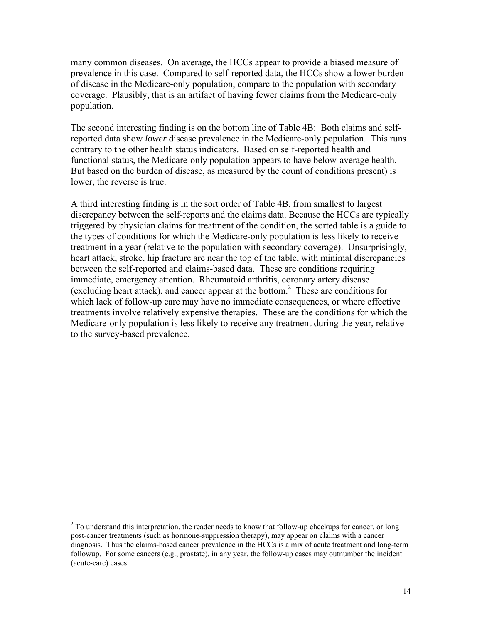many common diseases. On average, the HCCs appear to provide a biased measure of prevalence in this case. Compared to self-reported data, the HCCs show a lower burden of disease in the Medicare-only population, compare to the population with secondary coverage. Plausibly, that is an artifact of having fewer claims from the Medicare-only population.

The second interesting finding is on the bottom line of Table 4B: Both claims and selfreported data show *lower* disease prevalence in the Medicare-only population. This runs contrary to the other health status indicators. Based on self-reported health and functional status, the Medicare-only population appears to have below-average health. But based on the burden of disease, as measured by the count of conditions present) is lower, the reverse is true.

A third interesting finding is in the sort order of Table 4B, from smallest to largest discrepancy between the self-reports and the claims data. Because the HCCs are typically triggered by physician claims for treatment of the condition, the sorted table is a guide to the types of conditions for which the Medicare-only population is less likely to receive treatment in a year (relative to the population with secondary coverage). Unsurprisingly, heart attack, stroke, hip fracture are near the top of the table, with minimal discrepancies between the self-reported and claims-based data. These are conditions requiring immediate, emergency attention. Rheumatoid arthritis, coronary artery disease (excluding heart attack), and cancer appear at the bottom.2 These are conditions for which lack of follow-up care may have no immediate consequences, or where effective treatments involve relatively expensive therapies. These are the conditions for which the Medicare-only population is less likely to receive any treatment during the year, relative to the survey-based prevalence.

<sup>&</sup>lt;sup>2</sup> To understand this interpretation, the reader needs to know that follow-up checkups for cancer, or long post-cancer treatments (such as hormone-suppression therapy), may appear on claims with a cancer diagnosis. Thus the claims-based cancer prevalence in the HCCs is a mix of acute treatment and long-term followup. For some cancers (e.g., prostate), in any year, the follow-up cases may outnumber the incident (acute-care) cases.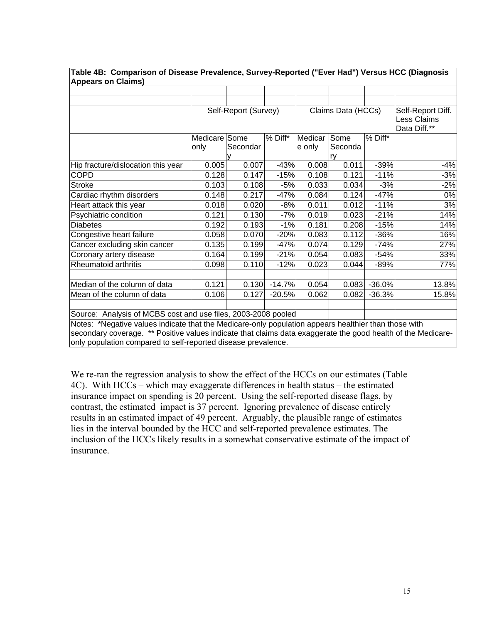| <b>Appears on Claims)</b>                                                                                    |               |                      |          |              |                    |          |                                                  |
|--------------------------------------------------------------------------------------------------------------|---------------|----------------------|----------|--------------|--------------------|----------|--------------------------------------------------|
|                                                                                                              |               |                      |          |              |                    |          |                                                  |
|                                                                                                              |               |                      |          |              |                    |          |                                                  |
|                                                                                                              |               | Self-Report (Survey) |          |              | Claims Data (HCCs) |          | Self-Report Diff.<br>Less Claims<br>Data Diff.** |
|                                                                                                              | Medicare Some |                      | % Diff*  | Medicar Some |                    | % Diff*  |                                                  |
|                                                                                                              | only          | Secondar             |          | e only       | Seconda            |          |                                                  |
|                                                                                                              |               |                      |          |              | <b>rv</b>          |          |                                                  |
| Hip fracture/dislocation this year                                                                           | 0.005         | 0.007                | $-43%$   | 0.008        | 0.011              | $-39%$   | $-4%$                                            |
| <b>COPD</b>                                                                                                  | 0.128         | 0.147                | $-15%$   | 0.108        | 0.121              | $-11%$   | -3%                                              |
| <b>Stroke</b>                                                                                                | 0.103         | 0.108                | $-5%$    | 0.033        | 0.034              | $-3%$    | $-2%$                                            |
| Cardiac rhythm disorders                                                                                     | 0.148         | 0.217                | $-47%$   | 0.084        | 0.124              | $-47%$   | 0%                                               |
| Heart attack this year                                                                                       | 0.018         | 0.020                | $-8%$    | 0.011        | 0.012              | $-11%$   | 3%                                               |
| Psychiatric condition                                                                                        | 0.121         | 0.130                | $-7%$    | 0.019        | 0.023              | $-21%$   | 14%                                              |
| <b>Diabetes</b>                                                                                              | 0.192         | 0.193                | $-1%$    | 0.181        | 0.208              | $-15%$   | 14%                                              |
| Congestive heart failure                                                                                     | 0.058         | 0.070                | $-20%$   | 0.083        | 0.112              | $-36%$   | 16%                                              |
| Cancer excluding skin cancer                                                                                 | 0.135         | 0.199                | $-47%$   | 0.074        | 0.129              | $-74%$   | 27%                                              |
| Coronary artery disease                                                                                      | 0.164         | 0.199                | $-21%$   | 0.054        | 0.083              | $-54%$   | 33%                                              |
| <b>Rheumatoid arthritis</b>                                                                                  | 0.098         | 0.110                | $-12%$   | 0.023        | 0.044              | $-89%$   | 77%                                              |
|                                                                                                              |               |                      |          |              |                    |          |                                                  |
| Median of the column of data                                                                                 | 0.121         | 0.130                | $-14.7%$ | 0.054        | 0.083              | $-36.0%$ | 13.8%                                            |
| Mean of the column of data                                                                                   | 0.106         | 0.127                | $-20.5%$ | 0.062        | 0.082              | $-36.3%$ | 15.8%                                            |
|                                                                                                              |               |                      |          |              |                    |          |                                                  |
| Source: Analysis of MCBS cost and use files, 2003-2008 pooled                                                |               |                      |          |              |                    |          |                                                  |
| Notes: *Negative values indicate that the Medicare-only population appears healthier than those with         |               |                      |          |              |                    |          |                                                  |
| secondary coverage. ** Positive values indicate that claims data exaggerate the good health of the Medicare- |               |                      |          |              |                    |          |                                                  |

**Table 4B: Comparison of Disease Prevalence, Survey-Reported ("Ever Had") Versus HCC (Diagnosis** 

secondary coverage. \*\* Positive values indicate that claims data exaggerate the good health of the Medicareonly population compared to self-reported disease prevalence.

We re-ran the regression analysis to show the effect of the HCCs on our estimates (Table 4C). With HCCs – which may exaggerate differences in health status – the estimated insurance impact on spending is 20 percent. Using the self-reported disease flags, by contrast, the estimated impact is 37 percent. Ignoring prevalence of disease entirely results in an estimated impact of 49 percent. Arguably, the plausible range of estimates lies in the interval bounded by the HCC and self-reported prevalence estimates. The inclusion of the HCCs likely results in a somewhat conservative estimate of the impact of insurance.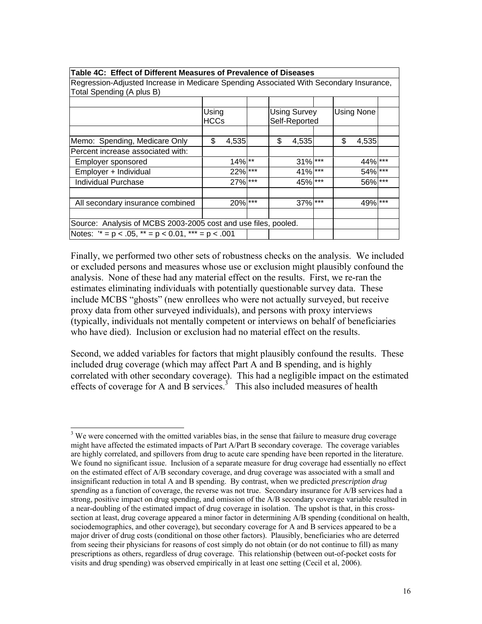| Regression-Adjusted Increase in Medicare Spending Associated With Secondary Insurance,<br>Total Spending (A plus B) |                      |            |    |                                      |    |            |  |
|---------------------------------------------------------------------------------------------------------------------|----------------------|------------|----|--------------------------------------|----|------------|--|
|                                                                                                                     | Using<br><b>HCCs</b> |            |    | <b>Using Survey</b><br>Self-Reported |    | Using None |  |
| Memo: Spending, Medicare Only                                                                                       | \$                   | 4,535      | \$ | 4,535                                | \$ | 4,535      |  |
| Percent increase associated with:                                                                                   |                      |            |    |                                      |    |            |  |
| Employer sponsored                                                                                                  |                      | $14\%$ **  |    | $31\%$ ***                           |    | 44% ***    |  |
| Employer + Individual                                                                                               |                      | 22% ***    |    | 41% ***                              |    | 54% ***    |  |
| <b>Individual Purchase</b>                                                                                          |                      | $27\%$ *** |    | 45% ***                              |    | $56\%$ *** |  |
| All secondary insurance combined                                                                                    |                      | $20\%$ *** |    | $37\%$ ***                           |    | 49% ***    |  |
| Source: Analysis of MCBS 2003-2005 cost and use files, pooled.                                                      |                      |            |    |                                      |    |            |  |
| Notes: $x = p < .05$ , $x^* = p < .001$ , $x^* = p < .001$                                                          |                      |            |    |                                      |    |            |  |

#### **Table 4C: Effect of Different Measures of Prevalence of Diseases**

Finally, we performed two other sets of robustness checks on the analysis. We included or excluded persons and measures whose use or exclusion might plausibly confound the analysis. None of these had any material effect on the results. First, we re-ran the estimates eliminating individuals with potentially questionable survey data. These include MCBS "ghosts" (new enrollees who were not actually surveyed, but receive proxy data from other surveyed individuals), and persons with proxy interviews (typically, individuals not mentally competent or interviews on behalf of beneficiaries who have died). Inclusion or exclusion had no material effect on the results.

Second, we added variables for factors that might plausibly confound the results. These included drug coverage (which may affect Part A and B spending, and is highly correlated with other secondary coverage). This had a negligible impact on the estimated effects of coverage for A and B services.<sup>3</sup> This also included measures of health

<sup>&</sup>lt;sup>3</sup> We were concerned with the omitted variables bias, in the sense that failure to measure drug coverage might have affected the estimated impacts of Part A/Part B secondary coverage. The coverage variables are highly correlated, and spillovers from drug to acute care spending have been reported in the literature. We found no significant issue. Inclusion of a separate measure for drug coverage had essentially no effect on the estimated effect of A/B secondary coverage, and drug coverage was associated with a small and insignificant reduction in total A and B spending. By contrast, when we predicted *prescription drug spending* as a function of coverage, the reverse was not true. Secondary insurance for A/B services had a strong, positive impact on drug spending, and omission of the A/B secondary coverage variable resulted in a near-doubling of the estimated impact of drug coverage in isolation. The upshot is that, in this crosssection at least, drug coverage appeared a minor factor in determining A/B spending (conditional on health, sociodemographics, and other coverage), but secondary coverage for A and B services appeared to be a major driver of drug costs (conditional on those other factors). Plausibly, beneficiaries who are deterred from seeing their physicians for reasons of cost simply do not obtain (or do not continue to fill) as many prescriptions as others, regardless of drug coverage. This relationship (between out-of-pocket costs for visits and drug spending) was observed empirically in at least one setting (Cecil et al, 2006).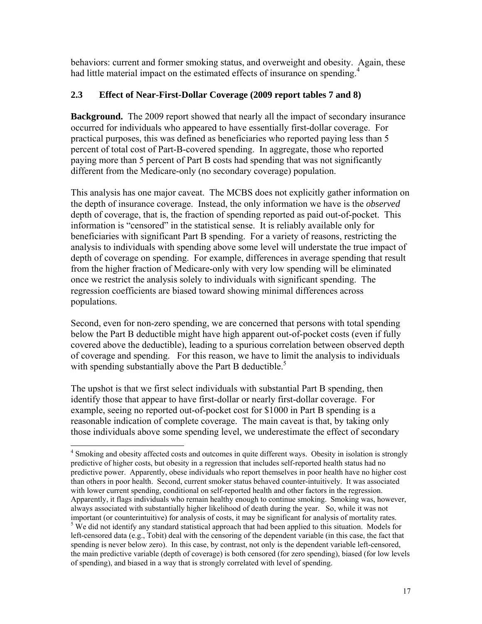behaviors: current and former smoking status, and overweight and obesity. Again, these had little material impact on the estimated effects of insurance on spending.<sup>4</sup>

## **2.3 Effect of Near-First-Dollar Coverage (2009 report tables 7 and 8)**

**Background.** The 2009 report showed that nearly all the impact of secondary insurance occurred for individuals who appeared to have essentially first-dollar coverage. For practical purposes, this was defined as beneficiaries who reported paying less than 5 percent of total cost of Part-B-covered spending. In aggregate, those who reported paying more than 5 percent of Part B costs had spending that was not significantly different from the Medicare-only (no secondary coverage) population.

This analysis has one major caveat. The MCBS does not explicitly gather information on the depth of insurance coverage. Instead, the only information we have is the *observed* depth of coverage, that is, the fraction of spending reported as paid out-of-pocket. This information is "censored" in the statistical sense. It is reliably available only for beneficiaries with significant Part B spending. For a variety of reasons, restricting the analysis to individuals with spending above some level will understate the true impact of depth of coverage on spending. For example, differences in average spending that result from the higher fraction of Medicare-only with very low spending will be eliminated once we restrict the analysis solely to individuals with significant spending. The regression coefficients are biased toward showing minimal differences across populations.

Second, even for non-zero spending, we are concerned that persons with total spending below the Part B deductible might have high apparent out-of-pocket costs (even if fully covered above the deductible), leading to a spurious correlation between observed depth of coverage and spending. For this reason, we have to limit the analysis to individuals with spending substantially above the Part B deductible.<sup>5</sup>

The upshot is that we first select individuals with substantial Part B spending, then identify those that appear to have first-dollar or nearly first-dollar coverage. For example, seeing no reported out-of-pocket cost for \$1000 in Part B spending is a reasonable indication of complete coverage. The main caveat is that, by taking only those individuals above some spending level, we underestimate the effect of secondary

<sup>&</sup>lt;sup>4</sup> Smoking and obesity affected costs and outcomes in quite different ways. Obesity in isolation is strongly predictive of higher costs, but obesity in a regression that includes self-reported health status had no predictive power. Apparently, obese individuals who report themselves in poor health have no higher cost than others in poor health. Second, current smoker status behaved counter-intuitively. It was associated with lower current spending, conditional on self-reported health and other factors in the regression. Apparently, it flags individuals who remain healthy enough to continue smoking. Smoking was, however, always associated with substantially higher likelihood of death during the year. So, while it was not important (or counterintuitive) for analysis of costs, it may be significant for analysis of mortality rates. 5 <sup>5</sup> We did not identify any standard statistical approach that had been applied to this situation. Models for left-censored data (e.g., Tobit) deal with the censoring of the dependent variable (in this case, the fact that spending is never below zero). In this case, by contrast, not only is the dependent variable left-censored, the main predictive variable (depth of coverage) is both censored (for zero spending), biased (for low levels of spending), and biased in a way that is strongly correlated with level of spending.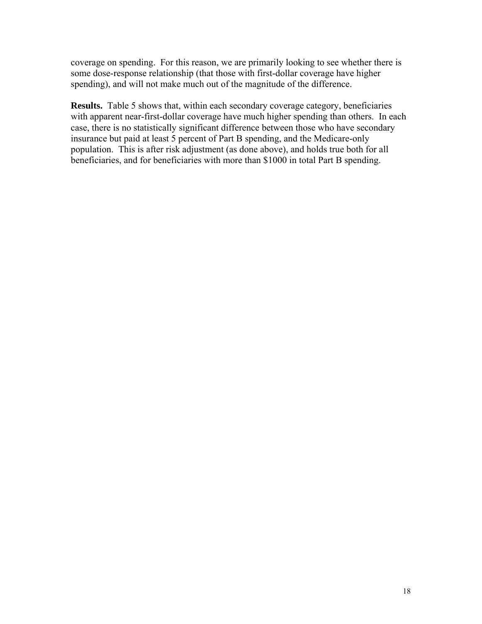coverage on spending. For this reason, we are primarily looking to see whether there is some dose-response relationship (that those with first-dollar coverage have higher spending), and will not make much out of the magnitude of the difference.

**Results.** Table 5 shows that, within each secondary coverage category, beneficiaries with apparent near-first-dollar coverage have much higher spending than others. In each case, there is no statistically significant difference between those who have secondary insurance but paid at least 5 percent of Part B spending, and the Medicare-only population. This is after risk adjustment (as done above), and holds true both for all beneficiaries, and for beneficiaries with more than \$1000 in total Part B spending.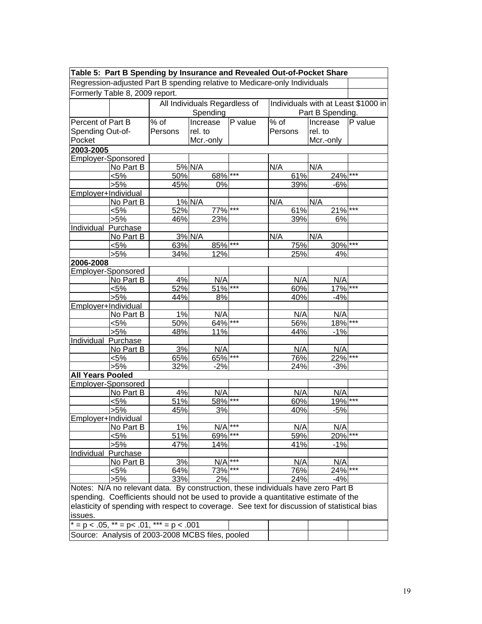|                           |                                                  |                   |                               |         | Table 5: Part B Spending by Insurance and Revealed Out-of-Pocket Share                       |                  |                                     |
|---------------------------|--------------------------------------------------|-------------------|-------------------------------|---------|----------------------------------------------------------------------------------------------|------------------|-------------------------------------|
|                           |                                                  |                   |                               |         | Regression-adjusted Part B spending relative to Medicare-only Individuals                    |                  |                                     |
|                           | Formerly Table 8, 2009 report.                   |                   |                               |         |                                                                                              |                  |                                     |
|                           |                                                  |                   | All Individuals Regardless of |         |                                                                                              |                  | Individuals with at Least \$1000 in |
|                           |                                                  |                   | Spending                      |         |                                                                                              | Part B Spending. |                                     |
| Percent of Part B         |                                                  | $\frac{1}{\%}$ of | Increase                      | P value | % of                                                                                         | Increase         | P value                             |
| Spending Out-of-          |                                                  | Persons           | rel. to                       |         | Persons                                                                                      | rel. to          |                                     |
| Pocket                    |                                                  |                   | Mcr.-only                     |         |                                                                                              | Mcr.-only        |                                     |
| 2003-2005                 |                                                  |                   |                               |         |                                                                                              |                  |                                     |
| <b>Employer-Sponsored</b> |                                                  |                   |                               |         |                                                                                              |                  |                                     |
|                           | No Part B                                        |                   | 5% N/A                        |         | N/A                                                                                          | N/A              |                                     |
|                           | <5%                                              | 50%               | 68% ***                       |         | 61%                                                                                          | $24\%$ ***       |                                     |
|                           | $>5\%$                                           | 45%               | 0%                            |         | 39%                                                                                          | $-6%$            |                                     |
| Employer+Individual       |                                                  |                   |                               |         |                                                                                              |                  |                                     |
|                           | No Part B                                        |                   | 1% N/A                        |         | N/A                                                                                          | N/A              |                                     |
|                           | <5%                                              | 52%               | 77%                           | $***$   | 61%                                                                                          | $21\%$ ***       |                                     |
|                           | >5%                                              | 46%               | 23%                           |         | 39%                                                                                          | 6%               |                                     |
| Individual Purchase       |                                                  |                   |                               |         |                                                                                              |                  |                                     |
|                           | No Part B                                        |                   | 3% N/A                        |         | N/A                                                                                          | N/A<br>30% ***   |                                     |
|                           | $< 5\%$                                          | 63%               | 85% ***<br>12%                |         | 75%                                                                                          |                  |                                     |
| 2006-2008                 | $>5\%$                                           | 34%               |                               |         | 25%                                                                                          | 4%               |                                     |
| <b>Employer-Sponsored</b> |                                                  |                   |                               |         |                                                                                              |                  |                                     |
|                           | No Part B                                        | 4%                | N/A                           |         | N/A                                                                                          | N/A              |                                     |
|                           | <5%                                              | 52%               | $51\%$ ***                    |         | 60%                                                                                          | $17\%$ ***       |                                     |
|                           | $\frac{1}{5\%}$                                  | 44%               | 8%                            |         | 40%                                                                                          | $-4%$            |                                     |
| Employer+Individual       |                                                  |                   |                               |         |                                                                                              |                  |                                     |
|                           | No Part B                                        | 1%                | N/A                           |         | N/A                                                                                          | N/A              |                                     |
|                           | $< 5\%$                                          | 50%               | $64\%$ ***                    |         | 56%                                                                                          | $18\%$ ***       |                                     |
|                           | >5%                                              | 48%               | 11%                           |         | 44%                                                                                          | $-1%$            |                                     |
| Individual Purchase       |                                                  |                   |                               |         |                                                                                              |                  |                                     |
|                           | No Part B                                        | 3%                | N/A                           |         | N/A                                                                                          | N/A              |                                     |
|                           | <5%                                              | 65%               | 65% ***                       |         | 76%                                                                                          | 22% ***          |                                     |
|                           | $>5\%$                                           | 32%               | $-2%$                         |         | 24%                                                                                          | $-3%$            |                                     |
| <b>All Years Pooled</b>   |                                                  |                   |                               |         |                                                                                              |                  |                                     |
| <b>Employer-Sponsored</b> |                                                  |                   |                               |         |                                                                                              |                  |                                     |
|                           | No Part B                                        | 4%                | N/A                           |         | N/A                                                                                          | N/A              |                                     |
|                           | $< 5\%$                                          | 51%               | 58% ***                       |         | 60%                                                                                          | 19%              | $***$                               |
|                           | $>5\%$                                           | 45%               | 3%                            |         | 40%                                                                                          | $-5%$            |                                     |
| Employer+Individual       |                                                  |                   |                               | ***     |                                                                                              |                  |                                     |
|                           | No Part B                                        | 1%                | N/A                           | $***$   | N/A                                                                                          | N/A              | $***$                               |
|                           | <5%                                              | 51%               | 69%                           |         | 59%                                                                                          | 20%              |                                     |
|                           | $>5\%$                                           | 47%               | 14%                           |         | 41%                                                                                          | $-1%$            |                                     |
| Individual                | Purchase<br>No Part B                            | 3%                | N/A                           | ***     | N/A                                                                                          | N/A              |                                     |
|                           | <5%                                              | 64%               | 73%                           | ***     | 76%                                                                                          | $24\%$ ***       |                                     |
|                           | >5%                                              | 33%               | 2%                            |         | 24%                                                                                          | $-4%$            |                                     |
|                           |                                                  |                   |                               |         | Notes: N/A no relevant data. By construction, these individuals have zero Part B             |                  |                                     |
|                           |                                                  |                   |                               |         | spending. Coefficients should not be used to provide a quantitative estimate of the          |                  |                                     |
|                           |                                                  |                   |                               |         | elasticity of spending with respect to coverage. See text for discussion of statistical bias |                  |                                     |
| issues.                   |                                                  |                   |                               |         |                                                                                              |                  |                                     |
|                           | * = p < .05, ** = p < .01, *** = p < .001        |                   |                               |         |                                                                                              |                  |                                     |
|                           |                                                  |                   |                               |         |                                                                                              |                  |                                     |
|                           | Source: Analysis of 2003-2008 MCBS files, pooled |                   |                               |         |                                                                                              |                  |                                     |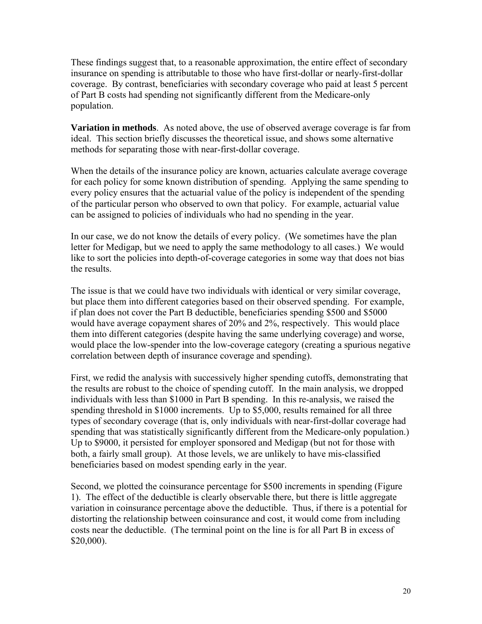These findings suggest that, to a reasonable approximation, the entire effect of secondary insurance on spending is attributable to those who have first-dollar or nearly-first-dollar coverage. By contrast, beneficiaries with secondary coverage who paid at least 5 percent of Part B costs had spending not significantly different from the Medicare-only population.

**Variation in methods**. As noted above, the use of observed average coverage is far from ideal. This section briefly discusses the theoretical issue, and shows some alternative methods for separating those with near-first-dollar coverage.

When the details of the insurance policy are known, actuaries calculate average coverage for each policy for some known distribution of spending. Applying the same spending to every policy ensures that the actuarial value of the policy is independent of the spending of the particular person who observed to own that policy. For example, actuarial value can be assigned to policies of individuals who had no spending in the year.

In our case, we do not know the details of every policy. (We sometimes have the plan letter for Medigap, but we need to apply the same methodology to all cases.) We would like to sort the policies into depth-of-coverage categories in some way that does not bias the results.

The issue is that we could have two individuals with identical or very similar coverage, but place them into different categories based on their observed spending. For example, if plan does not cover the Part B deductible, beneficiaries spending \$500 and \$5000 would have average copayment shares of 20% and 2%, respectively. This would place them into different categories (despite having the same underlying coverage) and worse, would place the low-spender into the low-coverage category (creating a spurious negative correlation between depth of insurance coverage and spending).

First, we redid the analysis with successively higher spending cutoffs, demonstrating that the results are robust to the choice of spending cutoff. In the main analysis, we dropped individuals with less than \$1000 in Part B spending. In this re-analysis, we raised the spending threshold in \$1000 increments. Up to \$5,000, results remained for all three types of secondary coverage (that is, only individuals with near-first-dollar coverage had spending that was statistically significantly different from the Medicare-only population.) Up to \$9000, it persisted for employer sponsored and Medigap (but not for those with both, a fairly small group). At those levels, we are unlikely to have mis-classified beneficiaries based on modest spending early in the year.

Second, we plotted the coinsurance percentage for \$500 increments in spending (Figure 1). The effect of the deductible is clearly observable there, but there is little aggregate variation in coinsurance percentage above the deductible. Thus, if there is a potential for distorting the relationship between coinsurance and cost, it would come from including costs near the deductible. (The terminal point on the line is for all Part B in excess of \$20,000).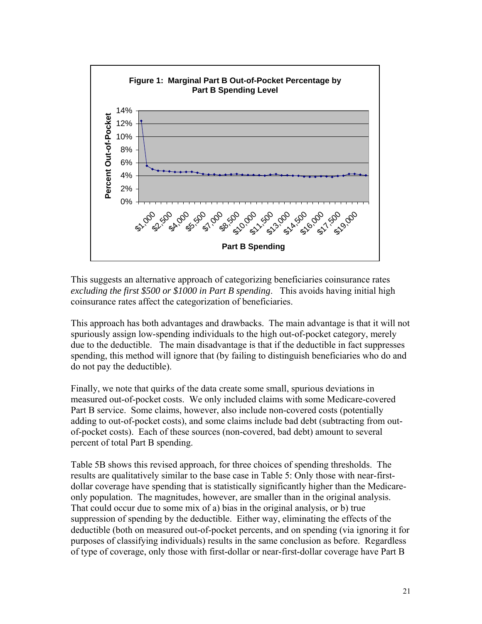

This suggests an alternative approach of categorizing beneficiaries coinsurance rates *excluding the first \$500 or \$1000 in Part B spending*. This avoids having initial high coinsurance rates affect the categorization of beneficiaries.

This approach has both advantages and drawbacks. The main advantage is that it will not spuriously assign low-spending individuals to the high out-of-pocket category, merely due to the deductible. The main disadvantage is that if the deductible in fact suppresses spending, this method will ignore that (by failing to distinguish beneficiaries who do and do not pay the deductible).

Finally, we note that quirks of the data create some small, spurious deviations in measured out-of-pocket costs. We only included claims with some Medicare-covered Part B service. Some claims, however, also include non-covered costs (potentially adding to out-of-pocket costs), and some claims include bad debt (subtracting from outof-pocket costs). Each of these sources (non-covered, bad debt) amount to several percent of total Part B spending.

Table 5B shows this revised approach, for three choices of spending thresholds. The results are qualitatively similar to the base case in Table 5: Only those with near-firstdollar coverage have spending that is statistically significantly higher than the Medicareonly population. The magnitudes, however, are smaller than in the original analysis. That could occur due to some mix of a) bias in the original analysis, or b) true suppression of spending by the deductible. Either way, eliminating the effects of the deductible (both on measured out-of-pocket percents, and on spending (via ignoring it for purposes of classifying individuals) results in the same conclusion as before. Regardless of type of coverage, only those with first-dollar or near-first-dollar coverage have Part B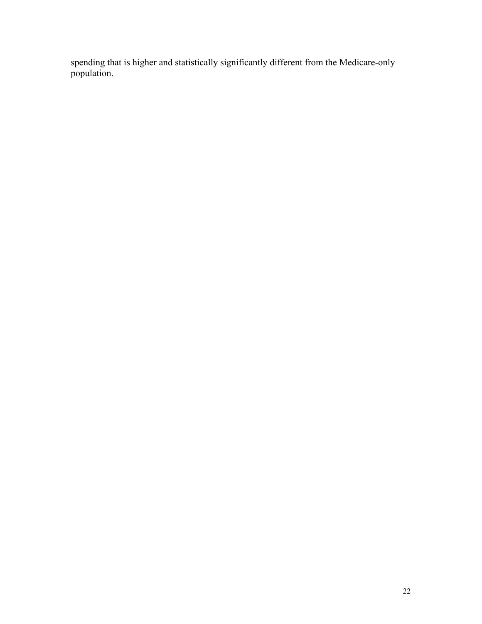spending that is higher and statistically significantly different from the Medicare-only population.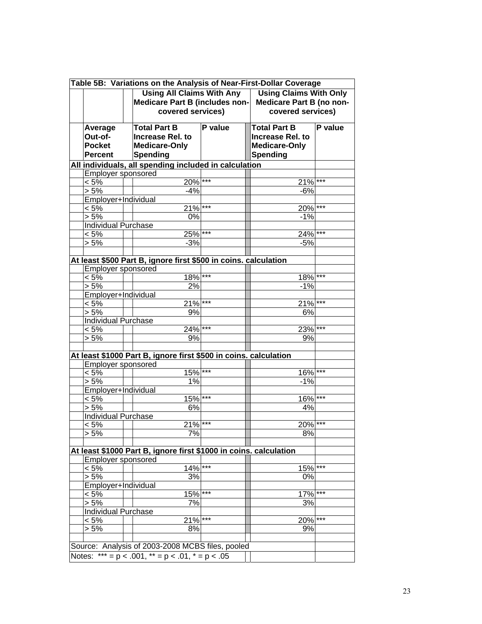|                                                       | Table 5B: Variations on the Analysis of Near-First-Dollar Coverage                        |         |                                                                                    |         |
|-------------------------------------------------------|-------------------------------------------------------------------------------------------|---------|------------------------------------------------------------------------------------|---------|
|                                                       | <b>Using All Claims With Any</b><br>Medicare Part B (includes non-<br>covered services)   |         | <b>Using Claims With Only</b><br>Medicare Part B (no non-<br>covered services)     |         |
| Average<br>Out-of-<br><b>Pocket</b><br><b>Percent</b> | <b>Total Part B</b><br><b>Increase Rel. to</b><br><b>Medicare-Only</b><br><b>Spending</b> | P value | <b>Total Part B</b><br><b>Increase Rel. to</b><br><b>Medicare-Only</b><br>Spending | P value |
|                                                       | All individuals, all spending included in calculation                                     |         |                                                                                    |         |
| Employer sponsored                                    |                                                                                           |         |                                                                                    |         |
| $< 5\%$                                               | $20\%$ ***                                                                                |         | 21%                                                                                | $***$   |
| > 5%                                                  | $-4%$                                                                                     |         | $-6%$                                                                              |         |
| Employer+Individual                                   |                                                                                           |         |                                                                                    |         |
| $< 5\%$                                               | $21\%$ ***                                                                                |         | $20\%$ ***                                                                         |         |
| > 5%                                                  | 0%                                                                                        |         | $-1%$                                                                              |         |
| Individual Purchase                                   |                                                                                           |         |                                                                                    |         |
| $< 5\%$                                               | $25\%$ ***                                                                                |         | 24%                                                                                |         |
| $> 5\%$                                               | $-3%$                                                                                     |         | $-5%$                                                                              |         |
|                                                       | At least \$500 Part B, ignore first \$500 in coins. calculation                           |         |                                                                                    |         |
| Employer sponsored                                    |                                                                                           |         |                                                                                    |         |
| < 5%                                                  | 18%                                                                                       | $***$   | 18%                                                                                | $***$   |
| $> 5\%$                                               | 2%                                                                                        |         | $-1%$                                                                              |         |
| Employer+Individual                                   |                                                                                           |         |                                                                                    |         |
| $< 5\%$                                               | $21\%$ ***                                                                                |         | $21\%$ ***                                                                         |         |
| $> 5\%$                                               | 9%                                                                                        |         | 6%                                                                                 |         |
| Individual Purchase                                   |                                                                                           |         |                                                                                    |         |
| $< 5\%$                                               | $24\%$ ***                                                                                |         | 23%                                                                                | $***$   |
| $> 5\%$                                               | 9%                                                                                        |         | 9%                                                                                 |         |
|                                                       | At least \$1000 Part B, ignore first \$500 in coins. calculation                          |         |                                                                                    |         |
| <b>Employer sponsored</b>                             |                                                                                           |         |                                                                                    |         |
| $< 5\%$                                               | 15%                                                                                       | ***     | 16%                                                                                | $***$   |
| $> 5\%$                                               | 1%                                                                                        |         | $-1%$                                                                              |         |
| Employer+Individual                                   |                                                                                           |         |                                                                                    |         |
| $< 5\%$                                               | $15\%$ ***                                                                                |         | 16%                                                                                | $***$   |
| $> 5\%$                                               | 6%                                                                                        |         | 4%                                                                                 |         |
| <b>Individual Purchase</b>                            |                                                                                           |         |                                                                                    |         |
| $< 5\%$                                               | $21\%$ ***                                                                                |         | 20%                                                                                | $***$   |
| > 5%                                                  | 7%                                                                                        |         | 8%                                                                                 |         |
|                                                       |                                                                                           |         |                                                                                    |         |
|                                                       | At least \$1000 Part B, ignore first \$1000 in coins. calculation                         |         |                                                                                    |         |
| Employer sponsored                                    |                                                                                           |         |                                                                                    |         |
| $< 5\%$                                               | $14\%$ ***                                                                                |         | $15\%$ ***                                                                         |         |
| > 5%                                                  | 3%                                                                                        |         | 0%                                                                                 |         |
| Employer+Individual                                   |                                                                                           |         |                                                                                    |         |
| $< 5\%$                                               | $15\%$ <sup>***</sup>                                                                     |         | 17%                                                                                | $***$   |
| $> 5\%$                                               | 7%                                                                                        |         | 3%                                                                                 |         |
| <b>Individual Purchase</b>                            |                                                                                           |         |                                                                                    |         |
| $< 5\%$                                               | $21\%$ ***                                                                                |         | 20% ***                                                                            |         |
| > 5%                                                  | 8%                                                                                        |         | 9%                                                                                 |         |
|                                                       |                                                                                           |         |                                                                                    |         |
|                                                       | Source: Analysis of 2003-2008 MCBS files, pooled                                          |         |                                                                                    |         |
|                                                       | Notes: $*** = p < .001$ , $** = p < .01$ , $* = p < .05$                                  |         |                                                                                    |         |
|                                                       |                                                                                           |         |                                                                                    |         |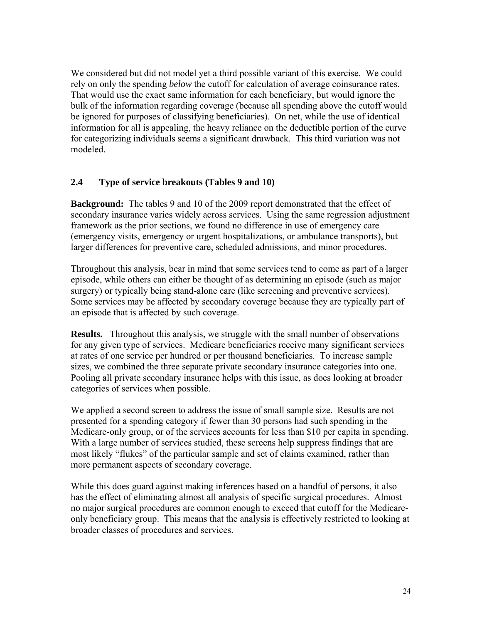We considered but did not model yet a third possible variant of this exercise. We could rely on only the spending *below* the cutoff for calculation of average coinsurance rates. That would use the exact same information for each beneficiary, but would ignore the bulk of the information regarding coverage (because all spending above the cutoff would be ignored for purposes of classifying beneficiaries). On net, while the use of identical information for all is appealing, the heavy reliance on the deductible portion of the curve for categorizing individuals seems a significant drawback. This third variation was not modeled.

## **2.4 Type of service breakouts (Tables 9 and 10)**

**Background:** The tables 9 and 10 of the 2009 report demonstrated that the effect of secondary insurance varies widely across services. Using the same regression adjustment framework as the prior sections, we found no difference in use of emergency care (emergency visits, emergency or urgent hospitalizations, or ambulance transports), but larger differences for preventive care, scheduled admissions, and minor procedures.

Throughout this analysis, bear in mind that some services tend to come as part of a larger episode, while others can either be thought of as determining an episode (such as major surgery) or typically being stand-alone care (like screening and preventive services). Some services may be affected by secondary coverage because they are typically part of an episode that is affected by such coverage.

**Results.** Throughout this analysis, we struggle with the small number of observations for any given type of services. Medicare beneficiaries receive many significant services at rates of one service per hundred or per thousand beneficiaries. To increase sample sizes, we combined the three separate private secondary insurance categories into one. Pooling all private secondary insurance helps with this issue, as does looking at broader categories of services when possible.

We applied a second screen to address the issue of small sample size. Results are not presented for a spending category if fewer than 30 persons had such spending in the Medicare-only group, or of the services accounts for less than \$10 per capita in spending. With a large number of services studied, these screens help suppress findings that are most likely "flukes" of the particular sample and set of claims examined, rather than more permanent aspects of secondary coverage.

While this does guard against making inferences based on a handful of persons, it also has the effect of eliminating almost all analysis of specific surgical procedures. Almost no major surgical procedures are common enough to exceed that cutoff for the Medicareonly beneficiary group. This means that the analysis is effectively restricted to looking at broader classes of procedures and services.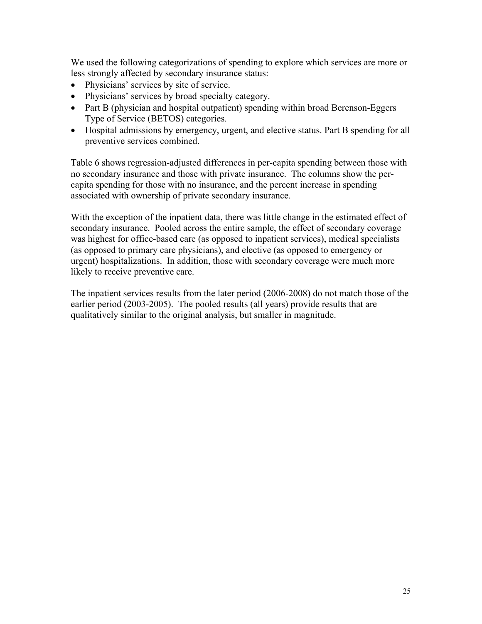We used the following categorizations of spending to explore which services are more or less strongly affected by secondary insurance status:

- Physicians' services by site of service.
- Physicians' services by broad specialty category.
- Part B (physician and hospital outpatient) spending within broad Berenson-Eggers Type of Service (BETOS) categories.
- Hospital admissions by emergency, urgent, and elective status. Part B spending for all preventive services combined.

Table 6 shows regression-adjusted differences in per-capita spending between those with no secondary insurance and those with private insurance. The columns show the percapita spending for those with no insurance, and the percent increase in spending associated with ownership of private secondary insurance.

With the exception of the inpatient data, there was little change in the estimated effect of secondary insurance. Pooled across the entire sample, the effect of secondary coverage was highest for office-based care (as opposed to inpatient services), medical specialists (as opposed to primary care physicians), and elective (as opposed to emergency or urgent) hospitalizations. In addition, those with secondary coverage were much more likely to receive preventive care.

The inpatient services results from the later period (2006-2008) do not match those of the earlier period (2003-2005). The pooled results (all years) provide results that are qualitatively similar to the original analysis, but smaller in magnitude.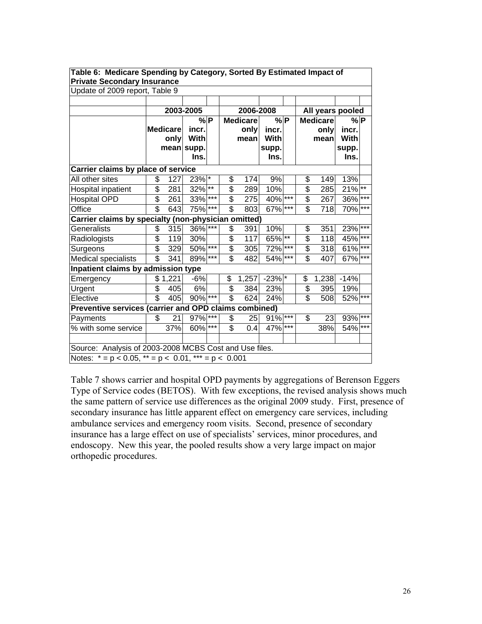| <b>Private Secondary Insurance</b>                          |                         |                 |                    |         |                          |                 |               |       |                         |                 |                      |       |
|-------------------------------------------------------------|-------------------------|-----------------|--------------------|---------|--------------------------|-----------------|---------------|-------|-------------------------|-----------------|----------------------|-------|
| Update of 2009 report, Table 9                              |                         |                 |                    |         |                          |                 |               |       |                         |                 |                      |       |
|                                                             |                         |                 |                    |         |                          |                 |               |       |                         |                 |                      |       |
|                                                             |                         |                 | 2003-2005          |         |                          | 2006-2008       |               |       |                         |                 | All years pooled     |       |
|                                                             |                         |                 | %P                 |         |                          | <b>Medicare</b> | %P            |       |                         | <b>Medicare</b> | %P                   |       |
|                                                             |                         | <b>Medicare</b> | incr.              |         |                          | only            | incr.         |       |                         | only            | incr.                |       |
|                                                             |                         | only            | With               |         |                          | mean            | With          |       |                         | mean            | With                 |       |
|                                                             |                         |                 | mean supp.<br>Ins. |         |                          |                 | supp.<br>Ins. |       |                         |                 | supp.<br>Ins.        |       |
|                                                             |                         |                 |                    |         |                          |                 |               |       |                         |                 |                      |       |
| Carrier claims by place of service                          |                         |                 |                    |         |                          |                 |               |       |                         |                 |                      |       |
| All other sites                                             | \$                      | 127             | 23%                | $\star$ | \$                       | 174             | 9%            |       | \$                      | 149             | 13%                  |       |
| Hospital inpatient                                          | \$                      | 281             | 32% **             |         | \$                       | 289             | 10%           |       | \$                      | 285             | $21\%$ <sup>**</sup> |       |
| <b>Hospital OPD</b>                                         | $\overline{\$}$         | 261             | 33%                | $***$   | \$                       | 275             | 40% ***       |       | \$                      | 267             | 36%                  | $***$ |
| Office                                                      | $\overline{\mathbb{S}}$ | 643             | 75%                | ***     | $\overline{\mathbb{S}}$  | 803             | 67%           | $***$ | \$                      | 718             | 70%                  | $***$ |
| Carrier claims by specialty (non-physician omitted)         |                         |                 |                    |         |                          |                 |               |       |                         |                 |                      |       |
| Generalists                                                 | \$                      | 315             | 36%                | ***     | \$                       | 391             | 10%           |       | \$                      | 351             | 23%                  | $***$ |
| Radiologists                                                | \$                      | 119             | 30%                |         | $\overline{\mathbf{S}}$  | 117             | $65\sqrt{**}$ |       | \$                      | 118             | 45%                  | $***$ |
| Surgeons                                                    | $\overline{\$}$         | 329             | 50%                | $***$   | \$                       | 305             | 72%           | $***$ | \$                      | 318             | 61%                  | $***$ |
| Medical specialists                                         | $\overline{\mathbb{S}}$ | 341             | 89%                | $***$   | $\overline{\mathbb{S}}$  | 482             | 54%           | $***$ | \$                      | 407             | 67%                  | $***$ |
| Inpatient claims by admission type                          |                         |                 |                    |         |                          |                 |               |       |                         |                 |                      |       |
| Emergency                                                   |                         | \$1,221         | $-6%$              |         | \$                       | 1,257           | $-23%$ *      |       | \$                      | 1,238           | $-14%$               |       |
| Urgent                                                      | \$                      | 405             | 6%                 |         | \$                       | 384             | 23%           |       | \$                      | 395             | 19%                  |       |
| Elective                                                    | $\overline{\mathbb{S}}$ | 405             | 90%                | $***$   | $\overline{\$}$          | 624             | 24%           |       | $\overline{\mathbb{S}}$ | 508             | 52%                  | $***$ |
| Preventive services (carrier and OPD claims combined)       |                         |                 |                    |         |                          |                 |               |       |                         |                 |                      |       |
| Payments                                                    | \$                      | 21              | 97%                | $***$   | \$                       | 25              | 91%           | $***$ | \$                      | 23              | 93%                  | $***$ |
| % with some service                                         |                         | 37%             | 60%                | ***     | $\overline{\mathcal{E}}$ | 0.4             | 47%           | $***$ |                         | 38%             | 54%                  | ***   |
|                                                             |                         |                 |                    |         |                          |                 |               |       |                         |                 |                      |       |
| Source: Analysis of 2003-2008 MCBS Cost and Use files.      |                         |                 |                    |         |                          |                 |               |       |                         |                 |                      |       |
| Notes: $* = p < 0.05$ , $** = p < 0.01$ , $*** = p < 0.001$ |                         |                 |                    |         |                          |                 |               |       |                         |                 |                      |       |

**Table 6: Medicare Spending by Category, Sorted By Estimated Impact of** 

Table 7 shows carrier and hospital OPD payments by aggregations of Berenson Eggers Type of Service codes (BETOS). With few exceptions, the revised analysis shows much the same pattern of service use differences as the original 2009 study. First, presence of secondary insurance has little apparent effect on emergency care services, including ambulance services and emergency room visits. Second, presence of secondary insurance has a large effect on use of specialists' services, minor procedures, and endoscopy. New this year, the pooled results show a very large impact on major orthopedic procedures.

٦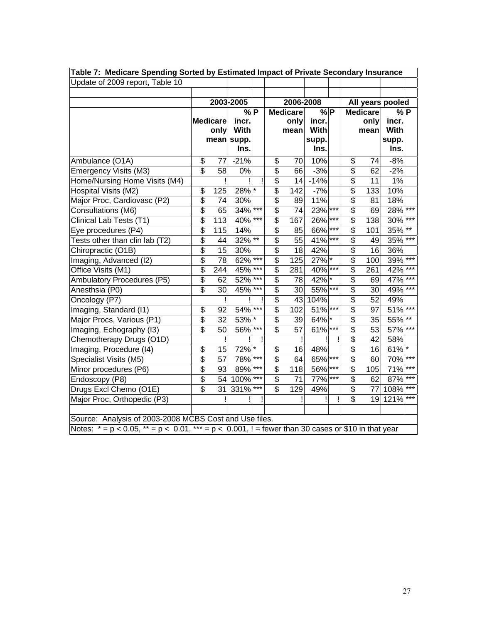| Table 7: Medicare Spending Sorted by Estimated Impact of Private Secondary Insurance                      |                          |                 |           |       |                                        |                 |            |       |                 |                 |                  |              |
|-----------------------------------------------------------------------------------------------------------|--------------------------|-----------------|-----------|-------|----------------------------------------|-----------------|------------|-------|-----------------|-----------------|------------------|--------------|
| Update of 2009 report, Table 10                                                                           |                          |                 |           |       |                                        |                 |            |       |                 |                 |                  |              |
|                                                                                                           |                          |                 |           |       |                                        |                 |            |       |                 |                 |                  |              |
|                                                                                                           |                          |                 | 2003-2005 |       |                                        | 2006-2008       |            |       |                 |                 | All years pooled |              |
|                                                                                                           |                          |                 | $%$ P     |       |                                        | <b>Medicare</b> | $%$ P      |       |                 | <b>Medicare</b> | $\sqrt{P}$       |              |
|                                                                                                           |                          | <b>Medicare</b> | incr.     |       |                                        | only            | incr.      |       |                 | only            | incr.            |              |
|                                                                                                           |                          | only            | With      |       |                                        | mean            | With       |       |                 | mean            | With             |              |
|                                                                                                           |                          | mean            | supp.     |       |                                        |                 | supp.      |       |                 |                 | supp.            |              |
|                                                                                                           |                          |                 | Ins.      |       |                                        |                 | Ins.       |       |                 |                 | Ins.             |              |
| Ambulance (O1A)                                                                                           | \$                       | 77              | $-21%$    |       | \$                                     | 70              | 10%        |       | \$              | 74              | $-8%$            |              |
| Emergency Visits (M3)                                                                                     | $\overline{\$}$          | 58              | 0%        |       | \$                                     | 66              | $-3%$      |       | \$              | 62              | $-2%$            |              |
| Home/Nursing Home Visits (M4)                                                                             |                          |                 |           |       | \$                                     | 14              | $-14%$     |       | $\overline{\$}$ | 11              | 1%               |              |
| Hospital Visits (M2)                                                                                      | \$                       | 125             | 28% *     |       | \$                                     | 142             | $-7%$      |       | \$              | 133             | 10%              |              |
| Major Proc, Cardiovasc (P2)                                                                               | \$                       | 74              | 30%       |       | $\overline{\$}$                        | 89              | 11%        |       | \$              | 81              | 18%              |              |
| Consultations (M6)                                                                                        | \$                       | 65              | 34%       | $***$ | \$                                     | 74              | 23%        | $***$ | \$              | 69              | 28%              | $***$        |
| Clinical Lab Tests (T1)                                                                                   | \$                       | 113             | 40% ***   |       | $\overline{\$}$                        | 167             | 26%        | ***   | \$              | 138             | 30%              | $***$        |
| Eye procedures (P4)                                                                                       | \$                       | 115             | 14%       |       | \$                                     | 85              | 66%        | $***$ | \$              | 101             | 35%              | $***$        |
| Tests other than clin lab (T2)                                                                            | \$                       | 44              | $32\%$ ** |       | \$                                     | 55              | 41%        | $***$ | \$              | 49              | 35%              | $***$        |
| Chiropractic (O1B)                                                                                        | \$                       | $\overline{15}$ | 30%       |       | \$                                     | 18              | 42%        |       | \$              | 16              | 36%              |              |
| Imaging, Advanced (I2)                                                                                    | \$                       | 78              | 62%       | $***$ | \$                                     | 125             | 27% *      |       | \$              | 100             | 39%              | $***$        |
| Office Visits (M1)                                                                                        | \$                       | 244             | 45%       | $***$ | \$                                     | 281             | 40%        |       | \$              | 261             | 42%              | ***          |
| <b>Ambulatory Procedures (P5)</b>                                                                         | \$                       | 62              | 52%       | ***   | $\overline{\mathcal{E}}$               | 78              | 42%        |       | \$              | 69              | 47%              | $***$        |
| Anesthsia (P0)                                                                                            | \$                       | 30              | 45%       | $***$ | $\overline{\mathcal{G}}$               | 30              | 55%        |       | \$              | 30              | 49%              | $***$        |
| Oncology (P7)                                                                                             |                          |                 |           |       | $\overline{\$}$                        | 43              | 104%       |       | \$              | 52              | 49%              |              |
| Imaging, Standard (I1)                                                                                    | \$                       | 92              | 54%       |       | $\overline{\mathcal{G}}$               | 102             | $51\%$ *** |       | \$              | 97              | 51%              | $***$        |
| Major Procs, Various (P1)                                                                                 | $\overline{\mathcal{G}}$ | 32              | 53% *     |       | $\overline{\$}$                        | 39              | 64%        |       | $\overline{\$}$ | 35              | 55%              | $\star\star$ |
| Imaging, Echography (I3)                                                                                  | \$                       | 50              | 56% ***   |       | $\overline{\$}$                        | 57              | 61%        | $***$ | $\overline{\$}$ | 53              | 57% ***          |              |
| Chemotherapy Drugs (O1D)                                                                                  |                          | ļ               |           | Ţ     |                                        |                 |            | Ţ     | $\overline{\$}$ | 42              | 58%              |              |
| Imaging, Procedure (I4)                                                                                   | \$                       | 15              | 72% *     |       | \$                                     | 16              | 48%        |       | \$              | 16              | $61\%$           |              |
| Specialist Visits (M5)                                                                                    | \$                       | 57              | 78% ***   |       | \$                                     | 64              | 65%        | $***$ | \$              | 60              | 70%              | $***$        |
| Minor procedures (P6)                                                                                     | $\overline{\mathcal{S}}$ | 93              | 89%       | $***$ | \$                                     | 118             | 56%        | ***   | \$              | 105             | 71%              | $***$        |
| Endoscopy (P8)                                                                                            | $\overline{\$}$          | 54              | 100%      | $***$ | $\overline{\boldsymbol{\mathfrak{s}}}$ | 71              | 77%        | $***$ | \$              | 62              | 87%              | $***$        |
| Drugs Excl Chemo (O1E)                                                                                    | \$                       | 31              | 331%      |       | \$                                     | 129             | 49%        |       | \$              | 77              | 108%             | $***$        |
| Major Proc, Orthopedic (P3)                                                                               |                          |                 |           |       |                                        |                 |            |       | \$              | 19              | 121%             | $***$        |
|                                                                                                           |                          |                 |           |       |                                        |                 |            |       |                 |                 |                  |              |
| Source: Analysis of 2003-2008 MCBS Cost and Use files.                                                    |                          |                 |           |       |                                        |                 |            |       |                 |                 |                  |              |
| Notes: $* = p < 0.05$ , $* = p < 0.01$ , $* * = p < 0.001$ , ! = fewer than 30 cases or \$10 in that year |                          |                 |           |       |                                        |                 |            |       |                 |                 |                  |              |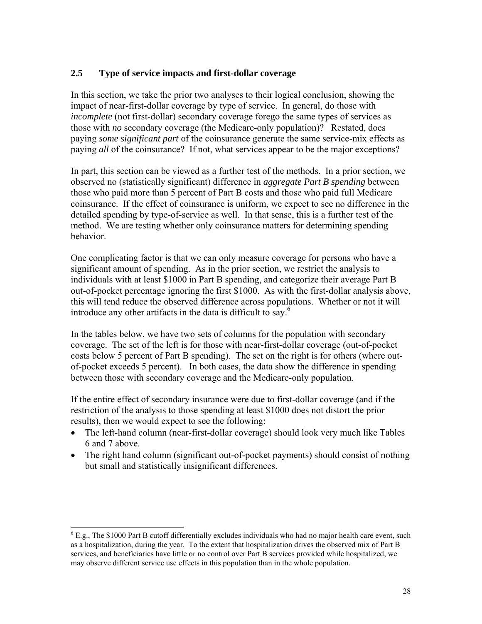## **2.5 Type of service impacts and first-dollar coverage**

In this section, we take the prior two analyses to their logical conclusion, showing the impact of near-first-dollar coverage by type of service. In general, do those with *incomplete* (not first-dollar) secondary coverage forego the same types of services as those with *no* secondary coverage (the Medicare-only population)? Restated, does paying *some significant part* of the coinsurance generate the same service-mix effects as paying *all* of the coinsurance? If not, what services appear to be the major exceptions?

In part, this section can be viewed as a further test of the methods. In a prior section, we observed no (statistically significant) difference in *aggregate Part B spending* between those who paid more than 5 percent of Part B costs and those who paid full Medicare coinsurance. If the effect of coinsurance is uniform, we expect to see no difference in the detailed spending by type-of-service as well. In that sense, this is a further test of the method. We are testing whether only coinsurance matters for determining spending behavior.

One complicating factor is that we can only measure coverage for persons who have a significant amount of spending. As in the prior section, we restrict the analysis to individuals with at least \$1000 in Part B spending, and categorize their average Part B out-of-pocket percentage ignoring the first \$1000. As with the first-dollar analysis above, this will tend reduce the observed difference across populations. Whether or not it will introduce any other artifacts in the data is difficult to say.<sup>6</sup>

In the tables below, we have two sets of columns for the population with secondary coverage. The set of the left is for those with near-first-dollar coverage (out-of-pocket costs below 5 percent of Part B spending). The set on the right is for others (where outof-pocket exceeds 5 percent). In both cases, the data show the difference in spending between those with secondary coverage and the Medicare-only population.

If the entire effect of secondary insurance were due to first-dollar coverage (and if the restriction of the analysis to those spending at least \$1000 does not distort the prior results), then we would expect to see the following:

- The left-hand column (near-first-dollar coverage) should look very much like Tables 6 and 7 above.
- The right hand column (significant out-of-pocket payments) should consist of nothing but small and statistically insignificant differences.

 $\overline{a}$ 

 $6$  E.g., The \$1000 Part B cutoff differentially excludes individuals who had no major health care event, such as a hospitalization, during the year. To the extent that hospitalization drives the observed mix of Part B services, and beneficiaries have little or no control over Part B services provided while hospitalized, we may observe different service use effects in this population than in the whole population.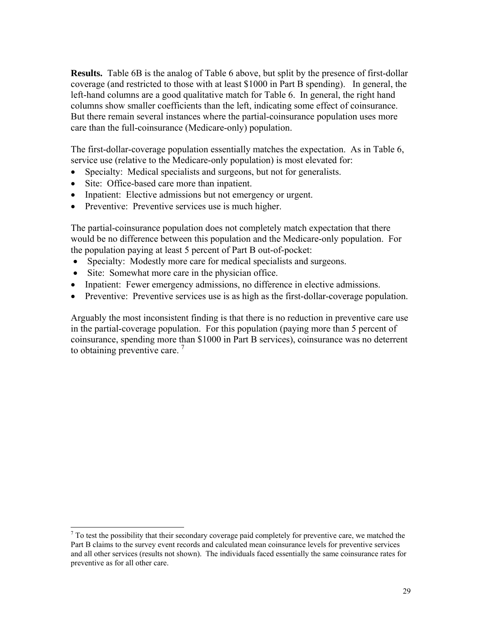**Results.** Table 6B is the analog of Table 6 above, but split by the presence of first-dollar coverage (and restricted to those with at least \$1000 in Part B spending). In general, the left-hand columns are a good qualitative match for Table 6. In general, the right hand columns show smaller coefficients than the left, indicating some effect of coinsurance. But there remain several instances where the partial-coinsurance population uses more care than the full-coinsurance (Medicare-only) population.

The first-dollar-coverage population essentially matches the expectation. As in Table 6, service use (relative to the Medicare-only population) is most elevated for:

- Specialty: Medical specialists and surgeons, but not for generalists.
- Site: Office-based care more than inpatient.
- Inpatient: Elective admissions but not emergency or urgent.
- Preventive: Preventive services use is much higher.

The partial-coinsurance population does not completely match expectation that there would be no difference between this population and the Medicare-only population. For the population paying at least 5 percent of Part B out-of-pocket:

- Specialty: Modestly more care for medical specialists and surgeons.
- Site: Somewhat more care in the physician office.
- Inpatient: Fewer emergency admissions, no difference in elective admissions.
- Preventive: Preventive services use is as high as the first-dollar-coverage population.

Arguably the most inconsistent finding is that there is no reduction in preventive care use in the partial-coverage population. For this population (paying more than 5 percent of coinsurance, spending more than \$1000 in Part B services), coinsurance was no deterrent to obtaining preventive care.  $7$ 

<sup>&</sup>lt;sup>7</sup> To test the possibility that their secondary coverage paid completely for preventive care, we matched the Part B claims to the survey event records and calculated mean coinsurance levels for preventive services and all other services (results not shown). The individuals faced essentially the same coinsurance rates for preventive as for all other care.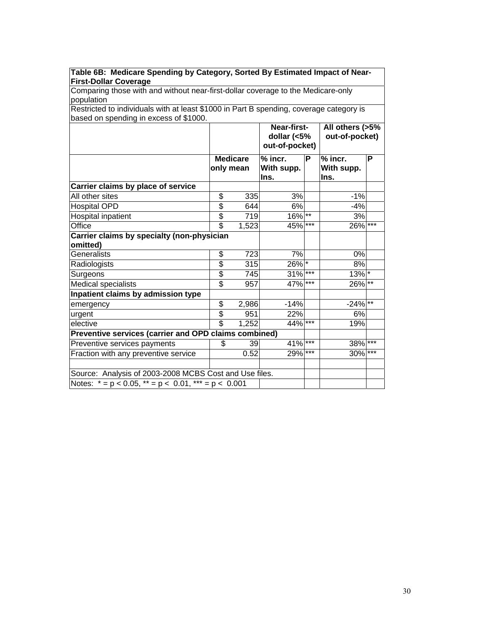| Table 6B: Medicare Spending by Category, Sorted By Estimated impact of Near-<br><b>First-Dollar Coverage</b> |                          |                 |                                              |       |                                   |       |
|--------------------------------------------------------------------------------------------------------------|--------------------------|-----------------|----------------------------------------------|-------|-----------------------------------|-------|
| Comparing those with and without near-first-dollar coverage to the Medicare-only                             |                          |                 |                                              |       |                                   |       |
| population                                                                                                   |                          |                 |                                              |       |                                   |       |
| Restricted to individuals with at least \$1000 in Part B spending, coverage category is                      |                          |                 |                                              |       |                                   |       |
| based on spending in excess of \$1000.                                                                       |                          |                 |                                              |       |                                   |       |
|                                                                                                              |                          |                 | Near-first-<br>dollar (<5%<br>out-of-pocket) |       | All others (>5%<br>out-of-pocket) |       |
|                                                                                                              | only mean                | <b>Medicare</b> | $%$ incr.<br>With supp.<br>Ins.              | P     | $%$ incr.<br>With supp.<br>Ins.   | P     |
| Carrier claims by place of service                                                                           |                          |                 |                                              |       |                                   |       |
| All other sites                                                                                              | \$                       | 335             | 3%                                           |       | $-1%$                             |       |
| <b>Hospital OPD</b>                                                                                          | \$                       | 644             | 6%                                           |       | $-4%$                             |       |
| Hospital inpatient                                                                                           | \$                       | 719             | $16\%$ <sup>**</sup>                         |       | 3%                                |       |
| Office                                                                                                       | $\overline{\mathbb{S}}$  | 1,523           | 45%                                          | $***$ | 26% ***                           |       |
| Carrier claims by specialty (non-physician<br>omitted)                                                       |                          |                 |                                              |       |                                   |       |
| Generalists                                                                                                  | \$                       | 723             | 7%                                           |       | 0%                                |       |
| Radiologists                                                                                                 | \$                       | 315             | 26% *                                        |       | 8%                                |       |
| Surgeons                                                                                                     | \$                       | 745             | $31\%$ ***                                   |       | $13\%$ *                          |       |
| Medical specialists                                                                                          | $\overline{\mathbb{S}}$  | 957             | 47% ***                                      |       | 26% **                            |       |
| Inpatient claims by admission type                                                                           |                          |                 |                                              |       |                                   |       |
| emergency                                                                                                    | \$                       | 2,986           | $-14%$                                       |       | $-24\%$ <sup>**</sup>             |       |
| urgent                                                                                                       | \$                       | 951             | 22%                                          |       | 6%                                |       |
| elective                                                                                                     | $\overline{\mathcal{E}}$ | 1,252           | 44% ***                                      |       | 19%                               |       |
| Preventive services (carrier and OPD claims combined)                                                        |                          |                 |                                              |       |                                   |       |
| Preventive services payments                                                                                 | \$                       | 39              | 41%                                          | ***   | 38%                               | $***$ |
| Fraction with any preventive service                                                                         |                          | 0.52            | 29%                                          | ***   | 30%                               | $***$ |
| Source: Analysis of 2003-2008 MCBS Cost and Use files.                                                       |                          |                 |                                              |       |                                   |       |
| Notes: $* = p < 0.05$ , $* = p < 0.01$ , $* = p < 0.001$                                                     |                          |                 |                                              |       |                                   |       |

**Table 6B: Medicare Spending by Category, Sorted By Estimated Impact of Near-**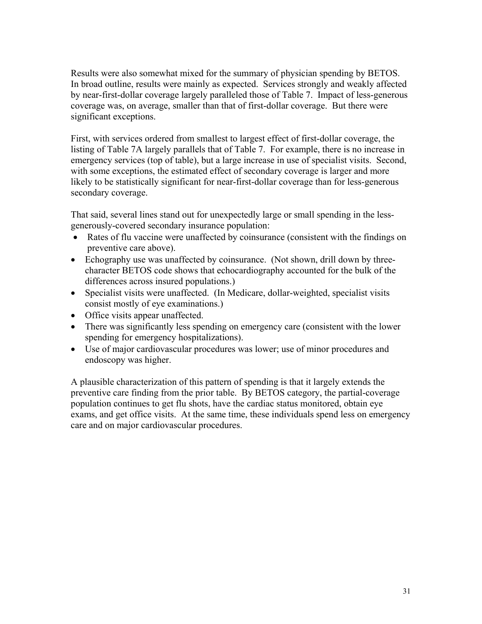Results were also somewhat mixed for the summary of physician spending by BETOS. In broad outline, results were mainly as expected. Services strongly and weakly affected by near-first-dollar coverage largely paralleled those of Table 7. Impact of less-generous coverage was, on average, smaller than that of first-dollar coverage. But there were significant exceptions.

First, with services ordered from smallest to largest effect of first-dollar coverage, the listing of Table 7A largely parallels that of Table 7. For example, there is no increase in emergency services (top of table), but a large increase in use of specialist visits. Second, with some exceptions, the estimated effect of secondary coverage is larger and more likely to be statistically significant for near-first-dollar coverage than for less-generous secondary coverage.

That said, several lines stand out for unexpectedly large or small spending in the lessgenerously-covered secondary insurance population:

- Rates of flu vaccine were unaffected by coinsurance (consistent with the findings on preventive care above).
- Echography use was unaffected by coinsurance. (Not shown, drill down by threecharacter BETOS code shows that echocardiography accounted for the bulk of the differences across insured populations.)
- Specialist visits were unaffected. (In Medicare, dollar-weighted, specialist visits consist mostly of eye examinations.)
- Office visits appear unaffected.
- There was significantly less spending on emergency care (consistent with the lower spending for emergency hospitalizations).
- Use of major cardiovascular procedures was lower; use of minor procedures and endoscopy was higher.

A plausible characterization of this pattern of spending is that it largely extends the preventive care finding from the prior table. By BETOS category, the partial-coverage population continues to get flu shots, have the cardiac status monitored, obtain eye exams, and get office visits. At the same time, these individuals spend less on emergency care and on major cardiovascular procedures.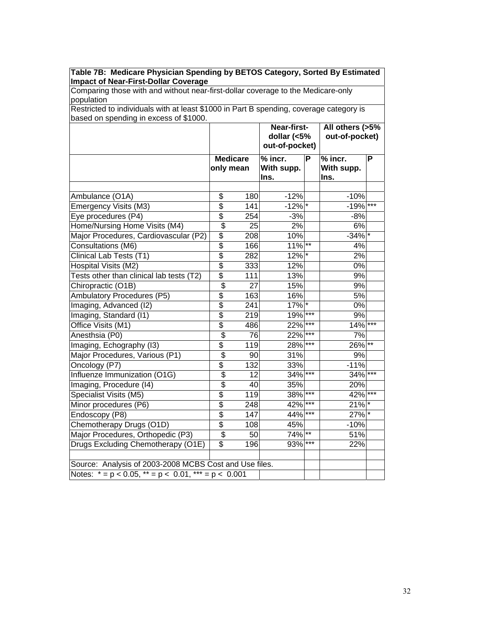| Comparing those with and without near-first-dollar coverage to the Medicare-only<br>population                       |                              |                 |                                              |            |                                   |                 |
|----------------------------------------------------------------------------------------------------------------------|------------------------------|-----------------|----------------------------------------------|------------|-----------------------------------|-----------------|
|                                                                                                                      |                              |                 |                                              |            |                                   |                 |
| Restricted to individuals with at least \$1000 in Part B spending, coverage category is                              |                              |                 |                                              |            |                                   |                 |
| based on spending in excess of \$1000.                                                                               |                              |                 |                                              |            |                                   |                 |
|                                                                                                                      |                              |                 | Near-first-<br>dollar (<5%<br>out-of-pocket) |            | All others (>5%<br>out-of-pocket) |                 |
|                                                                                                                      | <b>Medicare</b><br>only mean |                 | $%$ incr.<br>With supp.<br>Ins.              | P          | $%$ incr.<br>With supp.<br>Ins.   | P               |
| Ambulance (O1A)                                                                                                      | \$                           | 180             | $-12%$                                       |            | $-10%$                            |                 |
| Emergency Visits (M3)                                                                                                | $\overline{\$}$              | 141             | $-12%$ *                                     |            | $-19%$                            | $***$           |
| Eye procedures (P4)                                                                                                  | \$                           | 254             | $-3%$                                        |            | $-8%$                             |                 |
| Home/Nursing Home Visits (M4)                                                                                        | $\overline{\mathcal{S}}$     | 25              | 2%                                           |            | 6%                                |                 |
| Major Procedures, Cardiovascular (P2)                                                                                | \$                           | 208             | 10%                                          |            | $-34%$ *                          |                 |
| Consultations (M6)                                                                                                   | $\overline{\$}$              | 166             | $11\%$ **                                    |            | 4%                                |                 |
| Clinical Lab Tests (T1)                                                                                              | $\overline{\$}$              | 282             | 12% *                                        |            | 2%                                |                 |
| Hospital Visits (M2)                                                                                                 | \$                           | 333             | 12%                                          |            | 0%                                |                 |
| Tests other than clinical lab tests (T2)                                                                             | \$                           | 111             | 13%                                          |            | 9%                                |                 |
| Chiropractic (O1B)                                                                                                   | $\overline{\$}$              | $\overline{27}$ | 15%                                          |            | 9%                                |                 |
| Ambulatory Procedures (P5)                                                                                           | $\overline{\$}$              | 163             | 16%                                          |            | 5%                                |                 |
| Imaging, Advanced (I2)                                                                                               | $\overline{\$}$              | 241             | 17%                                          | $\ast$     | $0\%$                             |                 |
| Imaging, Standard (I1)                                                                                               | $\overline{\$}$              | 219             | 19%                                          | ***        | 9%                                |                 |
| Office Visits (M1)                                                                                                   | $\overline{\$}$              | 486             | 22%                                          | $***$      | 14%                               | $***$           |
| Anesthsia (P0)                                                                                                       | \$                           | 76              | 22%                                          | ***        | 7%                                |                 |
| Imaging, Echography (I3)                                                                                             | \$                           | 119             | 28%                                          | ***        | 26%                               | $^{\star\star}$ |
| Major Procedures, Various (P1)                                                                                       | $\overline{\$}$              | 90              | 31%                                          |            | 9%                                |                 |
| Oncology (P7)                                                                                                        | \$                           | 132             | 33%                                          |            | $-11%$                            |                 |
| Influenze Immunization (O1G)                                                                                         | \$                           | 12              | 34%                                          | $***$      | 34%                               | ***             |
| Imaging, Procedure (I4)                                                                                              | \$                           | 40              | 35%                                          |            | 20%                               |                 |
| Specialist Visits (M5)                                                                                               | \$                           | 119             | 38%                                          | ***        | 42%                               | $***$           |
| Minor procedures (P6)                                                                                                | \$                           | 248             | 42%                                          | ***        | 21%                               |                 |
| Endoscopy (P8)                                                                                                       | $\overline{\$}$              | 147             | 44%                                          | $***$      | 27% *                             |                 |
| Chemotherapy Drugs (O1D)                                                                                             | \$                           | 108             | 45%                                          |            | $-10%$                            |                 |
| Major Procedures, Orthopedic (P3)                                                                                    | \$                           | 50              | 74%                                          | $\ast\ast$ | 51%                               |                 |
| Drugs Excluding Chemotherapy (O1E)                                                                                   | \$                           | 196             | 93%                                          | ***        | 22%                               |                 |
| Source: Analysis of 2003-2008 MCBS Cost and Use files.<br>Notes: $* = p < 0.05$ , $** = p < 0.01$ , $** = p < 0.001$ |                              |                 |                                              |            |                                   |                 |

**Table 7B: Medicare Physician Spending by BETOS Category, Sorted By Estimated**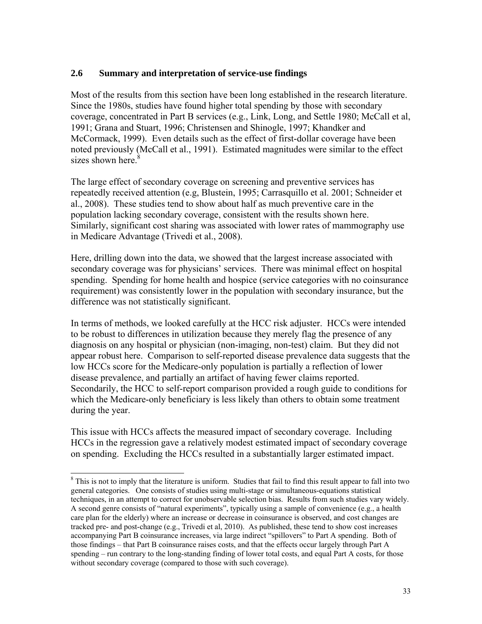#### **2.6 Summary and interpretation of service-use findings**

Most of the results from this section have been long established in the research literature. Since the 1980s, studies have found higher total spending by those with secondary coverage, concentrated in Part B services (e.g., Link, Long, and Settle 1980; McCall et al, 1991; Grana and Stuart, 1996; Christensen and Shinogle, 1997; Khandker and McCormack, 1999). Even details such as the effect of first-dollar coverage have been noted previously (McCall et al., 1991). Estimated magnitudes were similar to the effect sizes shown here. $8$ 

The large effect of secondary coverage on screening and preventive services has repeatedly received attention (e.g, Blustein, 1995; Carrasquillo et al. 2001; Schneider et al., 2008). These studies tend to show about half as much preventive care in the population lacking secondary coverage, consistent with the results shown here. Similarly, significant cost sharing was associated with lower rates of mammography use in Medicare Advantage (Trivedi et al., 2008).

Here, drilling down into the data, we showed that the largest increase associated with secondary coverage was for physicians' services. There was minimal effect on hospital spending. Spending for home health and hospice (service categories with no coinsurance requirement) was consistently lower in the population with secondary insurance, but the difference was not statistically significant.

In terms of methods, we looked carefully at the HCC risk adjuster. HCCs were intended to be robust to differences in utilization because they merely flag the presence of any diagnosis on any hospital or physician (non-imaging, non-test) claim. But they did not appear robust here. Comparison to self-reported disease prevalence data suggests that the low HCCs score for the Medicare-only population is partially a reflection of lower disease prevalence, and partially an artifact of having fewer claims reported. Secondarily, the HCC to self-report comparison provided a rough guide to conditions for which the Medicare-only beneficiary is less likely than others to obtain some treatment during the year.

This issue with HCCs affects the measured impact of secondary coverage. Including HCCs in the regression gave a relatively modest estimated impact of secondary coverage on spending. Excluding the HCCs resulted in a substantially larger estimated impact.

 $\overline{a}$ 

<sup>&</sup>lt;sup>8</sup> This is not to imply that the literature is uniform. Studies that fail to find this result appear to fall into two general categories. One consists of studies using multi-stage or simultaneous-equations statistical techniques, in an attempt to correct for unobservable selection bias. Results from such studies vary widely. A second genre consists of "natural experiments", typically using a sample of convenience (e.g., a health care plan for the elderly) where an increase or decrease in coinsurance is observed, and cost changes are tracked pre- and post-change (e.g., Trivedi et al, 2010). As published, these tend to show cost increases accompanying Part B coinsurance increases, via large indirect "spillovers" to Part A spending. Both of those findings – that Part B coinsurance raises costs, and that the effects occur largely through Part A spending – run contrary to the long-standing finding of lower total costs, and equal Part A costs, for those without secondary coverage (compared to those with such coverage).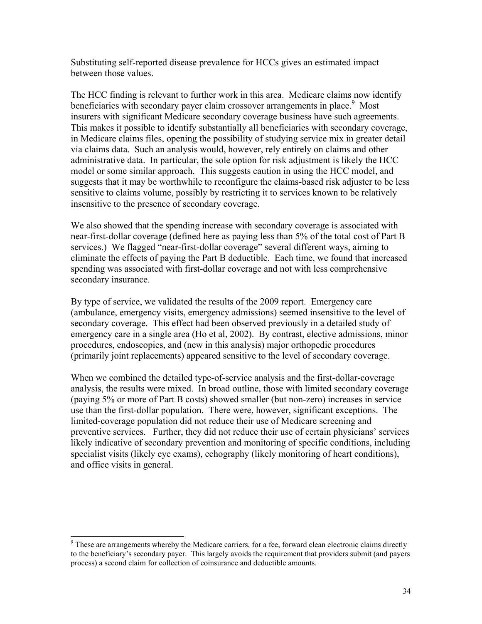Substituting self-reported disease prevalence for HCCs gives an estimated impact between those values.

The HCC finding is relevant to further work in this area. Medicare claims now identify beneficiaries with secondary payer claim crossover arrangements in place.<sup>9</sup> Most insurers with significant Medicare secondary coverage business have such agreements. This makes it possible to identify substantially all beneficiaries with secondary coverage, in Medicare claims files, opening the possibility of studying service mix in greater detail via claims data. Such an analysis would, however, rely entirely on claims and other administrative data. In particular, the sole option for risk adjustment is likely the HCC model or some similar approach. This suggests caution in using the HCC model, and suggests that it may be worthwhile to reconfigure the claims-based risk adjuster to be less sensitive to claims volume, possibly by restricting it to services known to be relatively insensitive to the presence of secondary coverage.

We also showed that the spending increase with secondary coverage is associated with near-first-dollar coverage (defined here as paying less than 5% of the total cost of Part B services.) We flagged "near-first-dollar coverage" several different ways, aiming to eliminate the effects of paying the Part B deductible. Each time, we found that increased spending was associated with first-dollar coverage and not with less comprehensive secondary insurance.

By type of service, we validated the results of the 2009 report. Emergency care (ambulance, emergency visits, emergency admissions) seemed insensitive to the level of secondary coverage. This effect had been observed previously in a detailed study of emergency care in a single area (Ho et al, 2002). By contrast, elective admissions, minor procedures, endoscopies, and (new in this analysis) major orthopedic procedures (primarily joint replacements) appeared sensitive to the level of secondary coverage.

When we combined the detailed type-of-service analysis and the first-dollar-coverage analysis, the results were mixed. In broad outline, those with limited secondary coverage (paying 5% or more of Part B costs) showed smaller (but non-zero) increases in service use than the first-dollar population. There were, however, significant exceptions. The limited-coverage population did not reduce their use of Medicare screening and preventive services. Further, they did not reduce their use of certain physicians' services likely indicative of secondary prevention and monitoring of specific conditions, including specialist visits (likely eye exams), echography (likely monitoring of heart conditions), and office visits in general.

<sup>&</sup>lt;sup>9</sup> These are arrangements whereby the Medicare carriers, for a fee, forward clean electronic claims directly to the beneficiary's secondary payer. This largely avoids the requirement that providers submit (and payers process) a second claim for collection of coinsurance and deductible amounts.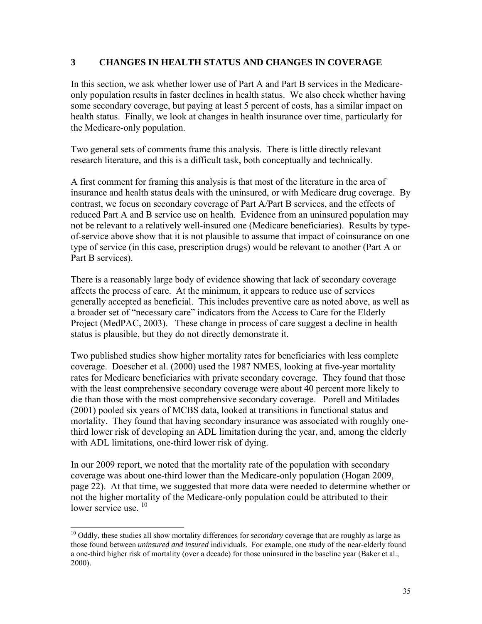#### **3 CHANGES IN HEALTH STATUS AND CHANGES IN COVERAGE**

In this section, we ask whether lower use of Part A and Part B services in the Medicareonly population results in faster declines in health status. We also check whether having some secondary coverage, but paying at least 5 percent of costs, has a similar impact on health status. Finally, we look at changes in health insurance over time, particularly for the Medicare-only population.

Two general sets of comments frame this analysis. There is little directly relevant research literature, and this is a difficult task, both conceptually and technically.

A first comment for framing this analysis is that most of the literature in the area of insurance and health status deals with the uninsured, or with Medicare drug coverage. By contrast, we focus on secondary coverage of Part A/Part B services, and the effects of reduced Part A and B service use on health. Evidence from an uninsured population may not be relevant to a relatively well-insured one (Medicare beneficiaries). Results by typeof-service above show that it is not plausible to assume that impact of coinsurance on one type of service (in this case, prescription drugs) would be relevant to another (Part A or Part B services).

There is a reasonably large body of evidence showing that lack of secondary coverage affects the process of care. At the minimum, it appears to reduce use of services generally accepted as beneficial. This includes preventive care as noted above, as well as a broader set of "necessary care" indicators from the Access to Care for the Elderly Project (MedPAC, 2003). These change in process of care suggest a decline in health status is plausible, but they do not directly demonstrate it.

Two published studies show higher mortality rates for beneficiaries with less complete coverage. Doescher et al. (2000) used the 1987 NMES, looking at five-year mortality rates for Medicare beneficiaries with private secondary coverage. They found that those with the least comprehensive secondary coverage were about 40 percent more likely to die than those with the most comprehensive secondary coverage. Porell and Mitilades (2001) pooled six years of MCBS data, looked at transitions in functional status and mortality. They found that having secondary insurance was associated with roughly onethird lower risk of developing an ADL limitation during the year, and, among the elderly with ADL limitations, one-third lower risk of dying.

In our 2009 report, we noted that the mortality rate of the population with secondary coverage was about one-third lower than the Medicare-only population (Hogan 2009, page 22). At that time, we suggested that more data were needed to determine whether or not the higher mortality of the Medicare-only population could be attributed to their lower service use.<sup>10</sup>

 $\overline{a}$ 

<sup>&</sup>lt;sup>10</sup> Oddly, these studies all show mortality differences for *secondary* coverage that are roughly as large as those found between *uninsured and insured* individuals. For example, one study of the near-elderly found a one-third higher risk of mortality (over a decade) for those uninsured in the baseline year (Baker et al., 2000).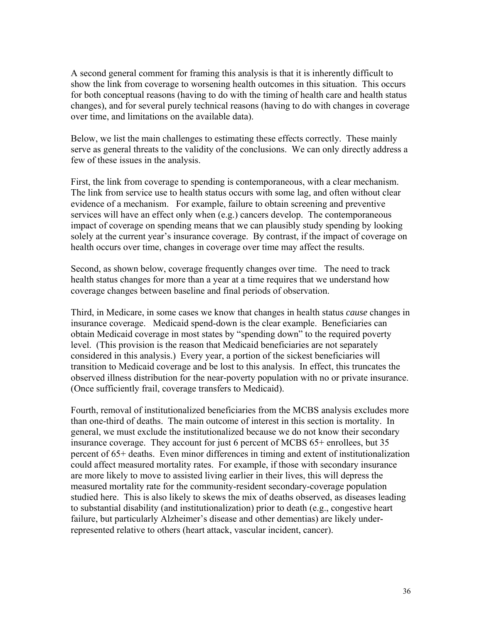A second general comment for framing this analysis is that it is inherently difficult to show the link from coverage to worsening health outcomes in this situation. This occurs for both conceptual reasons (having to do with the timing of health care and health status changes), and for several purely technical reasons (having to do with changes in coverage over time, and limitations on the available data).

Below, we list the main challenges to estimating these effects correctly. These mainly serve as general threats to the validity of the conclusions. We can only directly address a few of these issues in the analysis.

First, the link from coverage to spending is contemporaneous, with a clear mechanism. The link from service use to health status occurs with some lag, and often without clear evidence of a mechanism. For example, failure to obtain screening and preventive services will have an effect only when (e.g.) cancers develop. The contemporaneous impact of coverage on spending means that we can plausibly study spending by looking solely at the current year's insurance coverage. By contrast, if the impact of coverage on health occurs over time, changes in coverage over time may affect the results.

Second, as shown below, coverage frequently changes over time. The need to track health status changes for more than a year at a time requires that we understand how coverage changes between baseline and final periods of observation.

Third, in Medicare, in some cases we know that changes in health status *cause* changes in insurance coverage. Medicaid spend-down is the clear example. Beneficiaries can obtain Medicaid coverage in most states by "spending down" to the required poverty level. (This provision is the reason that Medicaid beneficiaries are not separately considered in this analysis.) Every year, a portion of the sickest beneficiaries will transition to Medicaid coverage and be lost to this analysis. In effect, this truncates the observed illness distribution for the near-poverty population with no or private insurance. (Once sufficiently frail, coverage transfers to Medicaid).

Fourth, removal of institutionalized beneficiaries from the MCBS analysis excludes more than one-third of deaths. The main outcome of interest in this section is mortality. In general, we must exclude the institutionalized because we do not know their secondary insurance coverage. They account for just 6 percent of MCBS 65+ enrollees, but 35 percent of 65+ deaths. Even minor differences in timing and extent of institutionalization could affect measured mortality rates. For example, if those with secondary insurance are more likely to move to assisted living earlier in their lives, this will depress the measured mortality rate for the community-resident secondary-coverage population studied here. This is also likely to skews the mix of deaths observed, as diseases leading to substantial disability (and institutionalization) prior to death (e.g., congestive heart failure, but particularly Alzheimer's disease and other dementias) are likely underrepresented relative to others (heart attack, vascular incident, cancer).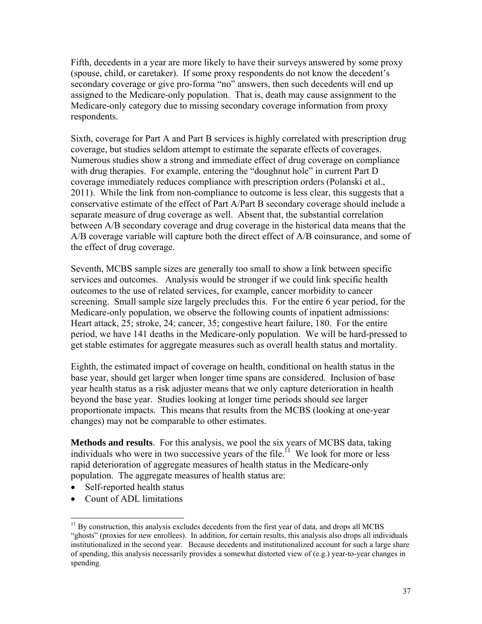Fifth, decedents in a year are more likely to have their surveys answered by some proxy (spouse, child, or caretaker). If some proxy respondents do not know the decedent's secondary coverage or give pro-forma "no" answers, then such decedents will end up assigned to the Medicare-only population. That is, death may cause assignment to the Medicare-only category due to missing secondary coverage information from proxy respondents.

Sixth, coverage for Part A and Part B services is highly correlated with prescription drug coverage, but studies seldom attempt to estimate the separate effects of coverages. Numerous studies show a strong and immediate effect of drug coverage on compliance with drug therapies. For example, entering the "doughnut hole" in current Part D coverage immediately reduces compliance with prescription orders (Polanski et al., 2011). While the link from non-compliance to outcome is less clear, this suggests that a conservative estimate of the effect of Part A/Part B secondary coverage should include a separate measure of drug coverage as well. Absent that, the substantial correlation between A/B secondary coverage and drug coverage in the historical data means that the A/B coverage variable will capture both the direct effect of A/B coinsurance, and some of the effect of drug coverage.

Seventh, MCBS sample sizes are generally too small to show a link between specific services and outcomes. Analysis would be stronger if we could link specific health outcomes to the use of related services, for example, cancer morbidity to cancer screening. Small sample size largely precludes this. For the entire 6 year period, for the Medicare-only population, we observe the following counts of inpatient admissions: Heart attack, 25; stroke, 24; cancer, 35; congestive heart failure, 180. For the entire period, we have 141 deaths in the Medicare-only population. We will be hard-pressed to get stable estimates for aggregate measures such as overall health status and mortality.

Eighth, the estimated impact of coverage on health, conditional on health status in the base year, should get larger when longer time spans are considered. Inclusion of base year health status as a risk adjuster means that we only capture deterioration in health beyond the base year. Studies looking at longer time periods should see larger proportionate impacts. This means that results from the MCBS (looking at one-year changes) may not be comparable to other estimates.

**Methods and results**. For this analysis, we pool the six years of MCBS data, taking individuals who were in two successive years of the file.<sup>11</sup> We look for more or less rapid deterioration of aggregate measures of health status in the Medicare-only population. The aggregate measures of health status are:

- Self-reported health status
- Count of ADL limitations

 $\overline{a}$ 

 $11$  By construction, this analysis excludes decedents from the first year of data, and drops all MCBS "ghosts" (proxies for new enrollees). In addition, for certain results, this analysis also drops all individuals institutionalized in the second year. Because decedents and institutionalized account for such a large share of spending, this analysis necessarily provides a somewhat distorted view of (e.g.) year-to-year changes in spending.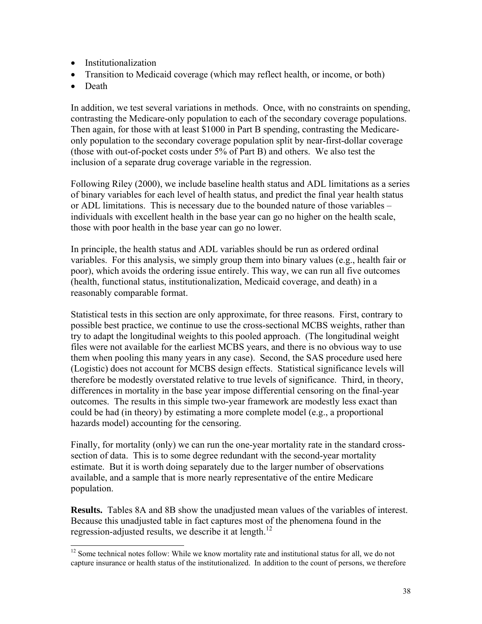- Institutionalization
- Transition to Medicaid coverage (which may reflect health, or income, or both)
- Death

 $\overline{a}$ 

In addition, we test several variations in methods. Once, with no constraints on spending, contrasting the Medicare-only population to each of the secondary coverage populations. Then again, for those with at least \$1000 in Part B spending, contrasting the Medicareonly population to the secondary coverage population split by near-first-dollar coverage (those with out-of-pocket costs under 5% of Part B) and others. We also test the inclusion of a separate drug coverage variable in the regression.

Following Riley (2000), we include baseline health status and ADL limitations as a series of binary variables for each level of health status, and predict the final year health status or ADL limitations. This is necessary due to the bounded nature of those variables – individuals with excellent health in the base year can go no higher on the health scale, those with poor health in the base year can go no lower.

In principle, the health status and ADL variables should be run as ordered ordinal variables. For this analysis, we simply group them into binary values (e.g., health fair or poor), which avoids the ordering issue entirely. This way, we can run all five outcomes (health, functional status, institutionalization, Medicaid coverage, and death) in a reasonably comparable format.

Statistical tests in this section are only approximate, for three reasons. First, contrary to possible best practice, we continue to use the cross-sectional MCBS weights, rather than try to adapt the longitudinal weights to this pooled approach. (The longitudinal weight files were not available for the earliest MCBS years, and there is no obvious way to use them when pooling this many years in any case). Second, the SAS procedure used here (Logistic) does not account for MCBS design effects. Statistical significance levels will therefore be modestly overstated relative to true levels of significance. Third, in theory, differences in mortality in the base year impose differential censoring on the final-year outcomes. The results in this simple two-year framework are modestly less exact than could be had (in theory) by estimating a more complete model (e.g., a proportional hazards model) accounting for the censoring.

Finally, for mortality (only) we can run the one-year mortality rate in the standard crosssection of data. This is to some degree redundant with the second-year mortality estimate. But it is worth doing separately due to the larger number of observations available, and a sample that is more nearly representative of the entire Medicare population.

**Results.** Tables 8A and 8B show the unadjusted mean values of the variables of interest. Because this unadjusted table in fact captures most of the phenomena found in the regression-adjusted results, we describe it at length.<sup>12</sup>

<sup>&</sup>lt;sup>12</sup> Some technical notes follow: While we know mortality rate and institutional status for all, we do not capture insurance or health status of the institutionalized. In addition to the count of persons, we therefore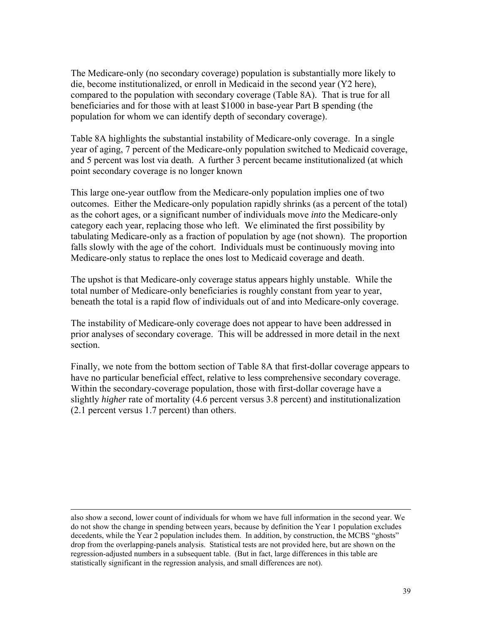The Medicare-only (no secondary coverage) population is substantially more likely to die, become institutionalized, or enroll in Medicaid in the second year (Y2 here), compared to the population with secondary coverage (Table 8A). That is true for all beneficiaries and for those with at least \$1000 in base-year Part B spending (the population for whom we can identify depth of secondary coverage).

Table 8A highlights the substantial instability of Medicare-only coverage. In a single year of aging, 7 percent of the Medicare-only population switched to Medicaid coverage, and 5 percent was lost via death. A further 3 percent became institutionalized (at which point secondary coverage is no longer known

This large one-year outflow from the Medicare-only population implies one of two outcomes. Either the Medicare-only population rapidly shrinks (as a percent of the total) as the cohort ages, or a significant number of individuals move *into* the Medicare-only category each year, replacing those who left. We eliminated the first possibility by tabulating Medicare-only as a fraction of population by age (not shown). The proportion falls slowly with the age of the cohort. Individuals must be continuously moving into Medicare-only status to replace the ones lost to Medicaid coverage and death.

The upshot is that Medicare-only coverage status appears highly unstable. While the total number of Medicare-only beneficiaries is roughly constant from year to year, beneath the total is a rapid flow of individuals out of and into Medicare-only coverage.

The instability of Medicare-only coverage does not appear to have been addressed in prior analyses of secondary coverage. This will be addressed in more detail in the next section.

Finally, we note from the bottom section of Table 8A that first-dollar coverage appears to have no particular beneficial effect, relative to less comprehensive secondary coverage. Within the secondary-coverage population, those with first-dollar coverage have a slightly *higher* rate of mortality (4.6 percent versus 3.8 percent) and institutionalization (2.1 percent versus 1.7 percent) than others.

 $\overline{a}$ 

also show a second, lower count of individuals for whom we have full information in the second year. We do not show the change in spending between years, because by definition the Year 1 population excludes decedents, while the Year 2 population includes them. In addition, by construction, the MCBS "ghosts" drop from the overlapping-panels analysis. Statistical tests are not provided here, but are shown on the regression-adjusted numbers in a subsequent table. (But in fact, large differences in this table are statistically significant in the regression analysis, and small differences are not).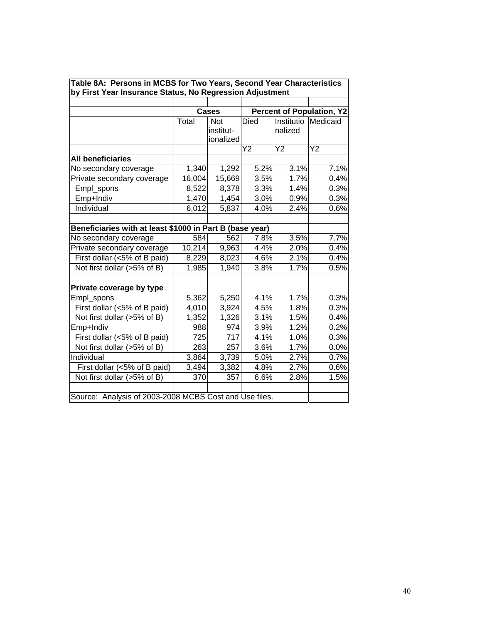|                                                          |        | Cases     |      |            | <b>Percent of Population, Y2</b> |
|----------------------------------------------------------|--------|-----------|------|------------|----------------------------------|
|                                                          | Total  | Not       | Died | Institutio | Medicaid                         |
|                                                          |        | institut- |      | nalized    |                                  |
|                                                          |        | ionalized |      |            |                                  |
|                                                          |        |           | Y2   | Y2         | Y2                               |
| <b>All beneficiaries</b>                                 |        |           |      |            |                                  |
| No secondary coverage                                    | 1,340  | 1,292     | 5.2% | 3.1%       | 7.1%                             |
| Private secondary coverage                               | 16,004 | 15,669    | 3.5% | 1.7%       | 0.4%                             |
| Empl_spons                                               | 8,522  | 8,378     | 3.3% | 1.4%       | 0.3%                             |
| Emp+Indiv                                                | 1,470  | 1,454     | 3.0% | 0.9%       | 0.3%                             |
| Individual                                               | 6,012  | 5,837     | 4.0% | 2.4%       | 0.6%                             |
| Beneficiaries with at least \$1000 in Part B (base year) |        |           |      |            |                                  |
| No secondary coverage                                    | 584    | 562       | 7.8% | 3.5%       | 7.7%                             |
| Private secondary coverage                               | 10,214 | 9,963     | 4.4% | 2.0%       | 0.4%                             |
| First dollar (<5% of B paid)                             | 8,229  | 8,023     | 4.6% | 2.1%       | 0.4%                             |
| Not first dollar (>5% of B)                              | 1,985  | 1,940     | 3.8% | 1.7%       | 0.5%                             |
| Private coverage by type                                 |        |           |      |            |                                  |
| Empl_spons                                               | 5,362  | 5,250     | 4.1% | 1.7%       | 0.3%                             |
| First dollar (<5% of B paid)                             | 4,010  | 3,924     | 4.5% | 1.8%       | 0.3%                             |
| Not first dollar (>5% of B)                              | 1,352  | 1,326     | 3.1% | 1.5%       | 0.4%                             |
| Emp+Indiv                                                | 988    | 974       | 3.9% | 1.2%       | 0.2%                             |
| First dollar (<5% of B paid)                             | 725    | 717       | 4.1% | 1.0%       | 0.3%                             |
| Not first dollar (>5% of B)                              | 263    | 257       | 3.6% | 1.7%       | 0.0%                             |
| Individual                                               | 3,864  | 3,739     | 5.0% | 2.7%       | 0.7%                             |
| First dollar (<5% of B paid)                             | 3,494  | 3,382     | 4.8% | 2.7%       | 0.6%                             |
| Not first dollar (>5% of B)                              | 370    | 357       | 6.6% | 2.8%       | 1.5%                             |
| Source: Analysis of 2003-2008 MCBS Cost and Use files.   |        |           |      |            |                                  |

**Table 8A: Persons in MCBS for Two Years, Second Year Characteristics**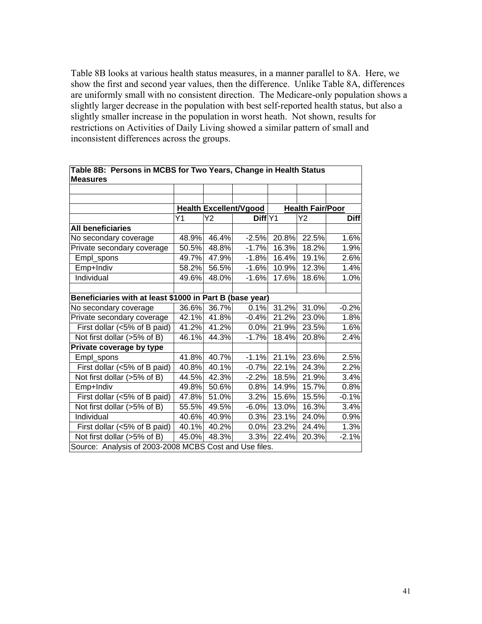Table 8B looks at various health status measures, in a manner parallel to 8A. Here, we show the first and second year values, then the difference. Unlike Table 8A, differences are uniformly small with no consistent direction. The Medicare-only population shows a slightly larger decrease in the population with best self-reported health status, but also a slightly smaller increase in the population in worst heath. Not shown, results for restrictions on Activities of Daily Living showed a similar pattern of small and inconsistent differences across the groups.

| <b>Measures</b>                                          |       |       |                               |       |                         |             |  |
|----------------------------------------------------------|-------|-------|-------------------------------|-------|-------------------------|-------------|--|
|                                                          |       |       |                               |       |                         |             |  |
|                                                          |       |       | <b>Health Excellent/Vgood</b> |       | <b>Health Fair/Poor</b> |             |  |
|                                                          | Y1    | Υ2    | Diff Y1                       |       | Y2                      | <b>Diff</b> |  |
| <b>All beneficiaries</b>                                 |       |       |                               |       |                         |             |  |
| No secondary coverage                                    | 48.9% | 46.4% | $-2.5%$                       | 20.8% | 22.5%                   | 1.6%        |  |
| Private secondary coverage                               | 50.5% | 48.8% | $-1.7%$                       | 16.3% | 18.2%                   | 1.9%        |  |
| Empl_spons                                               | 49.7% | 47.9% | $-1.8%$                       | 16.4% | 19.1%                   | 2.6%        |  |
| Emp+Indiv                                                | 58.2% | 56.5% | $-1.6%$                       | 10.9% | 12.3%                   | 1.4%        |  |
| Individual                                               | 49.6% | 48.0% | $-1.6%$                       | 17.6% | 18.6%                   | 1.0%        |  |
|                                                          |       |       |                               |       |                         |             |  |
| Beneficiaries with at least \$1000 in Part B (base year) |       |       |                               |       |                         |             |  |
| No secondary coverage                                    | 36.6% | 36.7% | 0.1%                          | 31.2% | 31.0%                   | $-0.2%$     |  |
| Private secondary coverage                               | 42.1% | 41.8% | $-0.4%$                       | 21.2% | 23.0%                   | 1.8%        |  |
| First dollar (<5% of B paid)                             | 41.2% | 41.2% | 0.0%                          | 21.9% | 23.5%                   | 1.6%        |  |
| Not first dollar (>5% of B)                              | 46.1% | 44.3% | $-1.7%$                       | 18.4% | 20.8%                   | 2.4%        |  |
| Private coverage by type                                 |       |       |                               |       |                         |             |  |
| Empl_spons                                               | 41.8% | 40.7% | $-1.1%$                       | 21.1% | 23.6%                   | 2.5%        |  |
| First dollar ( $<\sqrt{5\%}$ of B paid)                  | 40.8% | 40.1% | $-0.7%$                       | 22.1% | 24.3%                   | 2.2%        |  |
| Not first dollar (>5% of B)                              | 44.5% | 42.3% | $-2.2%$                       | 18.5% | 21.9%                   | 3.4%        |  |
| Emp+Indiv                                                | 49.8% | 50.6% | 0.8%                          | 14.9% | 15.7%                   | 0.8%        |  |
| First dollar (<5% of B paid)                             | 47.8% | 51.0% | 3.2%                          | 15.6% | 15.5%                   | $-0.1%$     |  |
| Not first dollar (>5% of B)                              | 55.5% | 49.5% | $-6.0%$                       | 13.0% | 16.3%                   | 3.4%        |  |
| Individual                                               | 40.6% | 40.9% | 0.3%                          | 23.1% | 24.0%                   | 0.9%        |  |
| First dollar (<5% of B paid)                             | 40.1% | 40.2% | 0.0%                          | 23.2% | 24.4%                   | 1.3%        |  |
| Not first dollar (>5% of B)                              | 45.0% | 48.3% | 3.3%                          | 22.4% | 20.3%                   | $-2.1%$     |  |
| Source: Analysis of 2003-2008 MCBS Cost and Use files.   |       |       |                               |       |                         |             |  |

**Table 8B: Persons in MCBS for Two Years, Change in Health Status Measures**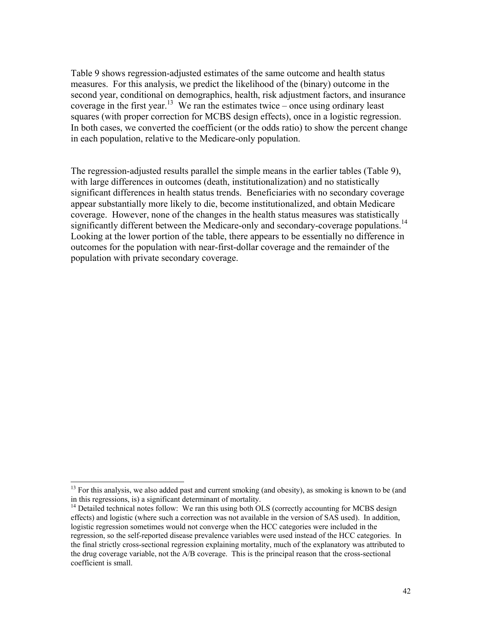Table 9 shows regression-adjusted estimates of the same outcome and health status measures. For this analysis, we predict the likelihood of the (binary) outcome in the second year, conditional on demographics, health, risk adjustment factors, and insurance coverage in the first year.<sup>13</sup> We ran the estimates twice – once using ordinary least squares (with proper correction for MCBS design effects), once in a logistic regression. In both cases, we converted the coefficient (or the odds ratio) to show the percent change in each population, relative to the Medicare-only population.

The regression-adjusted results parallel the simple means in the earlier tables (Table 9), with large differences in outcomes (death, institutionalization) and no statistically significant differences in health status trends. Beneficiaries with no secondary coverage appear substantially more likely to die, become institutionalized, and obtain Medicare coverage. However, none of the changes in the health status measures was statistically significantly different between the Medicare-only and secondary-coverage populations.<sup>14</sup> Looking at the lower portion of the table, there appears to be essentially no difference in outcomes for the population with near-first-dollar coverage and the remainder of the population with private secondary coverage.

 $\overline{a}$ 

<sup>&</sup>lt;sup>13</sup> For this analysis, we also added past and current smoking (and obesity), as smoking is known to be (and in this regressions, is) a significant determinant of mortality.

 $<sup>14</sup>$  Detailed technical notes follow: We ran this using both OLS (correctly accounting for MCBS design</sup> effects) and logistic (where such a correction was not available in the version of SAS used). In addition, logistic regression sometimes would not converge when the HCC categories were included in the regression, so the self-reported disease prevalence variables were used instead of the HCC categories. In the final strictly cross-sectional regression explaining mortality, much of the explanatory was attributed to the drug coverage variable, not the A/B coverage. This is the principal reason that the cross-sectional coefficient is small.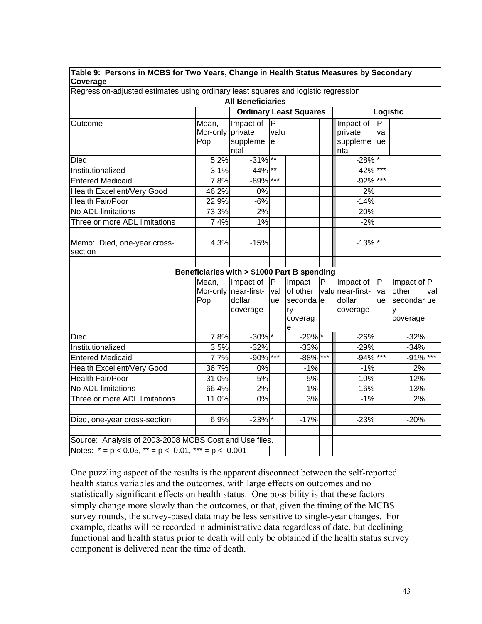|          |  | Table 9: Persons in MCBS for Two Years, Change in Health Status Measures by Secondary |  |
|----------|--|---------------------------------------------------------------------------------------|--|
| Coverage |  |                                                                                       |  |

| Regression-adjusted estimates using ordinary least squares and logistic regression |  |  |
|------------------------------------------------------------------------------------|--|--|

|                                                            |          | <b>All Beneficiaries</b>                    |              |                               |              |                    |          |                  |     |
|------------------------------------------------------------|----------|---------------------------------------------|--------------|-------------------------------|--------------|--------------------|----------|------------------|-----|
|                                                            |          |                                             |              | <b>Ordinary Least Squares</b> |              |                    | Logistic |                  |     |
| Outcome                                                    | Mean,    | Impact of                                   | $\mathsf{P}$ |                               |              | Impact of          | IP       |                  |     |
|                                                            | Mcr-only | private                                     | valu         |                               |              | private            | val      |                  |     |
|                                                            | Pop      | suppleme<br>ntal                            | e            |                               |              | suppleme<br>ntal   | ue       |                  |     |
| Died                                                       | 5.2%     | $-31\%$ **                                  |              |                               |              | $-28\%$            |          |                  |     |
| Institutionalized                                          | 3.1%     | $-44\%$ **                                  |              |                               |              | $-42\%$ ***        |          |                  |     |
| <b>Entered Medicaid</b>                                    | 7.8%     | $-89\%$ ***                                 |              |                               |              | $-92%$             | $***$    |                  |     |
| <b>Health Excellent/Very Good</b>                          | 46.2%    | 0%                                          |              |                               |              | 2%                 |          |                  |     |
| <b>Health Fair/Poor</b>                                    | 22.9%    | $-6%$                                       |              |                               |              | $-14%$             |          |                  |     |
| No ADL limitations                                         | 73.3%    | 2%                                          |              |                               |              | 20%                |          |                  |     |
| Three or more ADL limitations                              | 7.4%     | 1%                                          |              |                               |              | $-2%$              |          |                  |     |
|                                                            |          |                                             |              |                               |              |                    |          |                  |     |
| Memo: Died, one-year cross-                                | 4.3%     | $-15%$                                      |              |                               |              | $-13%$ *           |          |                  |     |
| section                                                    |          |                                             |              |                               |              |                    |          |                  |     |
|                                                            |          |                                             |              |                               |              |                    |          |                  |     |
|                                                            |          | Beneficiaries with > \$1000 Part B spending |              |                               |              |                    |          |                  |     |
|                                                            | Mean,    | Impact of                                   | IP.          | Impact                        | $\mathsf{P}$ | Impact of          | P        | Impact of P      |     |
|                                                            |          | Mcr-only   near-first-<br>dollar            | val          | of other                      |              | valu near-first-   | val      | other            | val |
|                                                            | Pop      | coverage                                    | <b>ue</b>    | seconda le<br>ry              |              | dollar<br>coverage | ue       | secondarlue<br>y |     |
|                                                            |          |                                             |              | coverag                       |              |                    |          | coverage         |     |
|                                                            |          |                                             |              | e                             |              |                    |          |                  |     |
| Died                                                       | 7.8%     | $-30\%$ <sup>*</sup>                        |              | $-29\sqrt{^*}$                |              | $-26%$             |          | $-32%$           |     |
| Institutionalized                                          | 3.5%     | $-32%$                                      |              | $-33%$                        |              | $-29%$             |          | $-34%$           |     |
| <b>Entered Medicaid</b>                                    | 7.7%     | $-90\%$ ***                                 |              | $-88\%$ ***                   |              | $-94\%$ ***        |          | $-91\%$ ***      |     |
| Health Excellent/Very Good                                 | 36.7%    | 0%                                          |              | $-1%$                         |              | $-1%$              |          | 2%               |     |
| <b>Health Fair/Poor</b>                                    | 31.0%    | $-5%$                                       |              | $-5%$                         |              | $-10%$             |          | $-12%$           |     |
| No ADL limitations                                         | 66.4%    | 2%                                          |              | 1%                            |              | 16%                |          | 13%              |     |
| Three or more ADL limitations                              | 11.0%    | 0%                                          |              | 3%                            |              | $-1%$              |          | 2%               |     |
|                                                            |          |                                             |              |                               |              |                    |          |                  |     |
| Died, one-year cross-section                               | 6.9%     | $-23%$ *                                    |              | $-17%$                        |              | $-23%$             |          | $-20%$           |     |
| Source: Analysis of 2003-2008 MCBS Cost and Use files.     |          |                                             |              |                               |              |                    |          |                  |     |
| Notes: $* = p < 0.05$ , $* = p < 0.01$ , $* * = p < 0.001$ |          |                                             |              |                               |              |                    |          |                  |     |
|                                                            |          |                                             |              |                               |              |                    |          |                  |     |

One puzzling aspect of the results is the apparent disconnect between the self-reported health status variables and the outcomes, with large effects on outcomes and no statistically significant effects on health status. One possibility is that these factors simply change more slowly than the outcomes, or that, given the timing of the MCBS survey rounds, the survey-based data may be less sensitive to single-year changes. For example, deaths will be recorded in administrative data regardless of date, but declining functional and health status prior to death will only be obtained if the health status survey component is delivered near the time of death.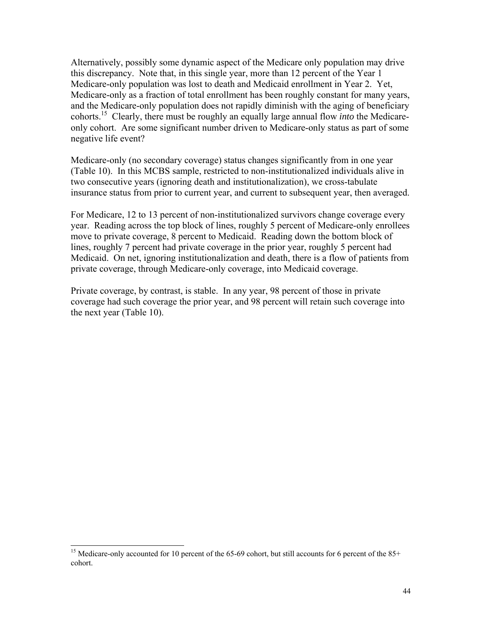Alternatively, possibly some dynamic aspect of the Medicare only population may drive this discrepancy. Note that, in this single year, more than 12 percent of the Year 1 Medicare-only population was lost to death and Medicaid enrollment in Year 2. Yet, Medicare-only as a fraction of total enrollment has been roughly constant for many years, and the Medicare-only population does not rapidly diminish with the aging of beneficiary cohorts.15 Clearly, there must be roughly an equally large annual flow *into* the Medicareonly cohort. Are some significant number driven to Medicare-only status as part of some negative life event?

Medicare-only (no secondary coverage) status changes significantly from in one year (Table 10). In this MCBS sample, restricted to non-institutionalized individuals alive in two consecutive years (ignoring death and institutionalization), we cross-tabulate insurance status from prior to current year, and current to subsequent year, then averaged.

For Medicare, 12 to 13 percent of non-institutionalized survivors change coverage every year. Reading across the top block of lines, roughly 5 percent of Medicare-only enrollees move to private coverage, 8 percent to Medicaid. Reading down the bottom block of lines, roughly 7 percent had private coverage in the prior year, roughly 5 percent had Medicaid. On net, ignoring institutionalization and death, there is a flow of patients from private coverage, through Medicare-only coverage, into Medicaid coverage.

Private coverage, by contrast, is stable. In any year, 98 percent of those in private coverage had such coverage the prior year, and 98 percent will retain such coverage into the next year (Table 10).

 $\overline{a}$ 

<sup>&</sup>lt;sup>15</sup> Medicare-only accounted for 10 percent of the 65-69 cohort, but still accounts for 6 percent of the 85+ cohort.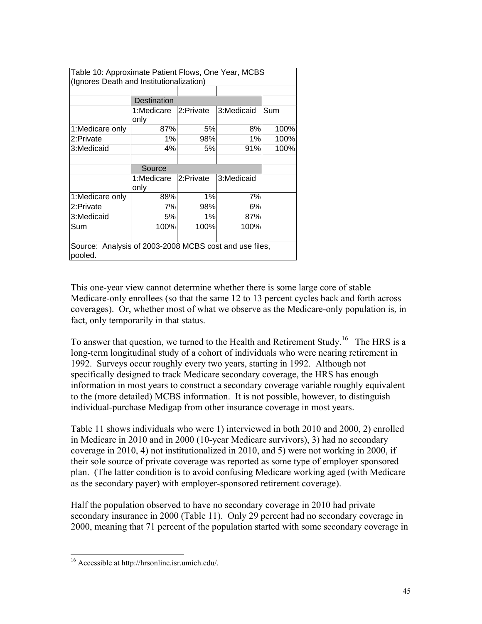| Table 10: Approximate Patient Flows, One Year, MCBS<br>(Ignores Death and Institutionalization) |                    |           |            |      |  |  |
|-------------------------------------------------------------------------------------------------|--------------------|-----------|------------|------|--|--|
|                                                                                                 |                    |           |            |      |  |  |
|                                                                                                 | <b>Destination</b> |           |            |      |  |  |
|                                                                                                 | 1:Medicare<br>only | 2:Private | 3:Medicaid | Sum  |  |  |
| 1:Medicare only                                                                                 | 87%                | 5%        | 8%         | 100% |  |  |
| 2:Private                                                                                       | 1%                 | 98%       | $1\%$      | 100% |  |  |
| 3:Medicaid                                                                                      | 4%                 | 5%        | 91%        | 100% |  |  |
|                                                                                                 |                    |           |            |      |  |  |
|                                                                                                 | Source             |           |            |      |  |  |
|                                                                                                 | 1:Medicare<br>only | 2:Private | 3:Medicaid |      |  |  |
| 1:Medicare only                                                                                 | 88%                | 1%        | 7%         |      |  |  |
| 2:Private                                                                                       | 7%                 | 98%       | 6%         |      |  |  |
| 3:Medicaid                                                                                      | 5%                 | 1%        | 87%        |      |  |  |
| Sum                                                                                             | 100%               | 100%      | 100%       |      |  |  |
|                                                                                                 |                    |           |            |      |  |  |
| Source: Analysis of 2003-2008 MCBS cost and use files,<br>pooled.                               |                    |           |            |      |  |  |

This one-year view cannot determine whether there is some large core of stable Medicare-only enrollees (so that the same 12 to 13 percent cycles back and forth across coverages). Or, whether most of what we observe as the Medicare-only population is, in fact, only temporarily in that status.

To answer that question, we turned to the Health and Retirement Study.<sup>16</sup> The HRS is a long-term longitudinal study of a cohort of individuals who were nearing retirement in 1992. Surveys occur roughly every two years, starting in 1992. Although not specifically designed to track Medicare secondary coverage, the HRS has enough information in most years to construct a secondary coverage variable roughly equivalent to the (more detailed) MCBS information. It is not possible, however, to distinguish individual-purchase Medigap from other insurance coverage in most years.

Table 11 shows individuals who were 1) interviewed in both 2010 and 2000, 2) enrolled in Medicare in 2010 and in 2000 (10-year Medicare survivors), 3) had no secondary coverage in 2010, 4) not institutionalized in 2010, and 5) were not working in 2000, if their sole source of private coverage was reported as some type of employer sponsored plan. (The latter condition is to avoid confusing Medicare working aged (with Medicare as the secondary payer) with employer-sponsored retirement coverage).

Half the population observed to have no secondary coverage in 2010 had private secondary insurance in 2000 (Table 11). Only 29 percent had no secondary coverage in 2000, meaning that 71 percent of the population started with some secondary coverage in

 $\overline{a}$ 16 Accessible at http://hrsonline.isr.umich.edu/.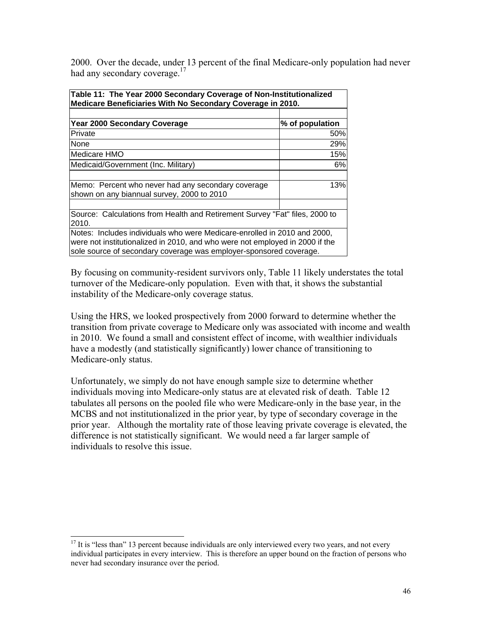2000. Over the decade, under 13 percent of the final Medicare-only population had never had any secondary coverage.<sup>17</sup>

| Table 11: The Year 2000 Secondary Coverage of Non-Institutionalized<br>Medicare Beneficiaries With No Secondary Coverage in 2010.                                                                                              |                 |  |  |  |  |
|--------------------------------------------------------------------------------------------------------------------------------------------------------------------------------------------------------------------------------|-----------------|--|--|--|--|
|                                                                                                                                                                                                                                |                 |  |  |  |  |
| <b>Year 2000 Secondary Coverage</b>                                                                                                                                                                                            | % of population |  |  |  |  |
| Private                                                                                                                                                                                                                        | 50%             |  |  |  |  |
| <b>None</b>                                                                                                                                                                                                                    | 29%             |  |  |  |  |
| <b>Medicare HMO</b>                                                                                                                                                                                                            | 15%             |  |  |  |  |
| Medicaid/Government (Inc. Military)                                                                                                                                                                                            | 6%              |  |  |  |  |
|                                                                                                                                                                                                                                |                 |  |  |  |  |
| Memo: Percent who never had any secondary coverage<br>shown on any biannual survey, 2000 to 2010                                                                                                                               | 13%             |  |  |  |  |
|                                                                                                                                                                                                                                |                 |  |  |  |  |
| Source: Calculations from Health and Retirement Survey "Fat" files, 2000 to<br>2010.                                                                                                                                           |                 |  |  |  |  |
| Notes: Includes individuals who were Medicare-enrolled in 2010 and 2000,<br>were not institutionalized in 2010, and who were not employed in 2000 if the<br>sole source of secondary coverage was employer-sponsored coverage. |                 |  |  |  |  |

By focusing on community-resident survivors only, Table 11 likely understates the total turnover of the Medicare-only population. Even with that, it shows the substantial instability of the Medicare-only coverage status.

Using the HRS, we looked prospectively from 2000 forward to determine whether the transition from private coverage to Medicare only was associated with income and wealth in 2010. We found a small and consistent effect of income, with wealthier individuals have a modestly (and statistically significantly) lower chance of transitioning to Medicare-only status.

Unfortunately, we simply do not have enough sample size to determine whether individuals moving into Medicare-only status are at elevated risk of death. Table 12 tabulates all persons on the pooled file who were Medicare-only in the base year, in the MCBS and not institutionalized in the prior year, by type of secondary coverage in the prior year. Although the mortality rate of those leaving private coverage is elevated, the difference is not statistically significant. We would need a far larger sample of individuals to resolve this issue.

 $\overline{a}$  $17$  It is "less than" 13 percent because individuals are only interviewed every two years, and not every individual participates in every interview. This is therefore an upper bound on the fraction of persons who never had secondary insurance over the period.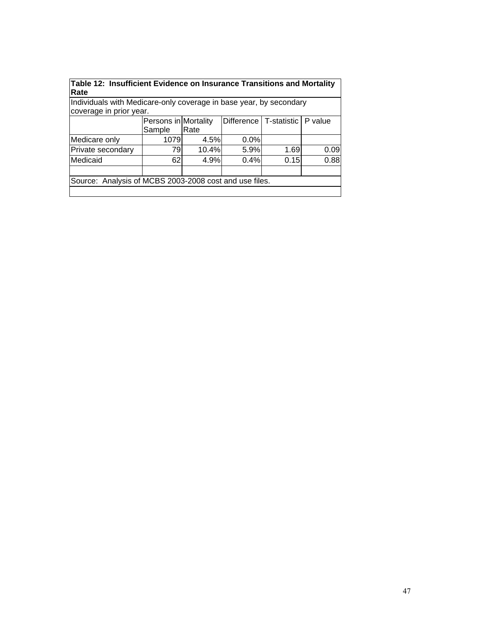|      | Table 12: Insufficient Evidence on Insurance Transitions and Mortality |
|------|------------------------------------------------------------------------|
| Rate |                                                                        |

Individuals with Medicare-only coverage in base year, by secondary coverage in prior year.

|                                                        | Persons in Mortality |       |      | Difference   T-statistic   P value |      |  |  |
|--------------------------------------------------------|----------------------|-------|------|------------------------------------|------|--|--|
|                                                        | Sample               | Rate  |      |                                    |      |  |  |
| Medicare only                                          | 1079                 | 4.5%  | 0.0% |                                    |      |  |  |
| Private secondary                                      | 79                   | 10.4% | 5.9% | 1.69                               | 0.09 |  |  |
| Medicaid                                               | 62I                  | 4.9%  | 0.4% | 0.15                               | 0.88 |  |  |
|                                                        |                      |       |      |                                    |      |  |  |
| Source: Analysis of MCBS 2003-2008 cost and use files. |                      |       |      |                                    |      |  |  |
|                                                        |                      |       |      |                                    |      |  |  |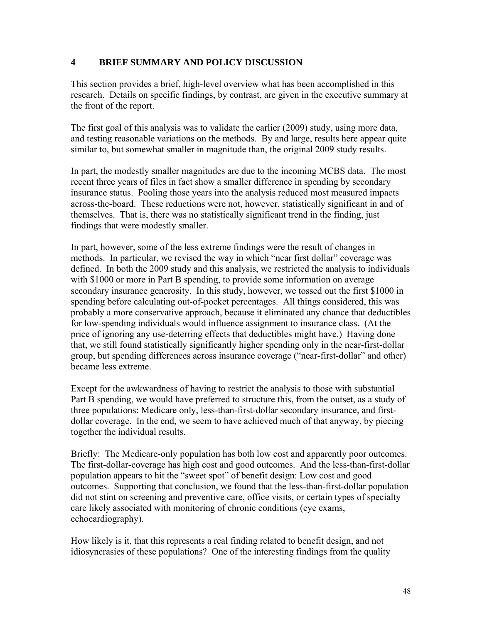#### **4 BRIEF SUMMARY AND POLICY DISCUSSION**

This section provides a brief, high-level overview what has been accomplished in this research. Details on specific findings, by contrast, are given in the executive summary at the front of the report.

The first goal of this analysis was to validate the earlier (2009) study, using more data, and testing reasonable variations on the methods. By and large, results here appear quite similar to, but somewhat smaller in magnitude than, the original 2009 study results.

In part, the modestly smaller magnitudes are due to the incoming MCBS data. The most recent three years of files in fact show a smaller difference in spending by secondary insurance status. Pooling those years into the analysis reduced most measured impacts across-the-board. These reductions were not, however, statistically significant in and of themselves. That is, there was no statistically significant trend in the finding, just findings that were modestly smaller.

In part, however, some of the less extreme findings were the result of changes in methods. In particular, we revised the way in which "near first dollar" coverage was defined. In both the 2009 study and this analysis, we restricted the analysis to individuals with \$1000 or more in Part B spending, to provide some information on average secondary insurance generosity. In this study, however, we tossed out the first \$1000 in spending before calculating out-of-pocket percentages. All things considered, this was probably a more conservative approach, because it eliminated any chance that deductibles for low-spending individuals would influence assignment to insurance class. (At the price of ignoring any use-deterring effects that deductibles might have.) Having done that, we still found statistically significantly higher spending only in the near-first-dollar group, but spending differences across insurance coverage ("near-first-dollar" and other) became less extreme.

Except for the awkwardness of having to restrict the analysis to those with substantial Part B spending, we would have preferred to structure this, from the outset, as a study of three populations: Medicare only, less-than-first-dollar secondary insurance, and firstdollar coverage. In the end, we seem to have achieved much of that anyway, by piecing together the individual results.

Briefly: The Medicare-only population has both low cost and apparently poor outcomes. The first-dollar-coverage has high cost and good outcomes. And the less-than-first-dollar population appears to hit the "sweet spot" of benefit design: Low cost and good outcomes. Supporting that conclusion, we found that the less-than-first-dollar population did not stint on screening and preventive care, office visits, or certain types of specialty care likely associated with monitoring of chronic conditions (eye exams, echocardiography).

How likely is it, that this represents a real finding related to benefit design, and not idiosyncrasies of these populations? One of the interesting findings from the quality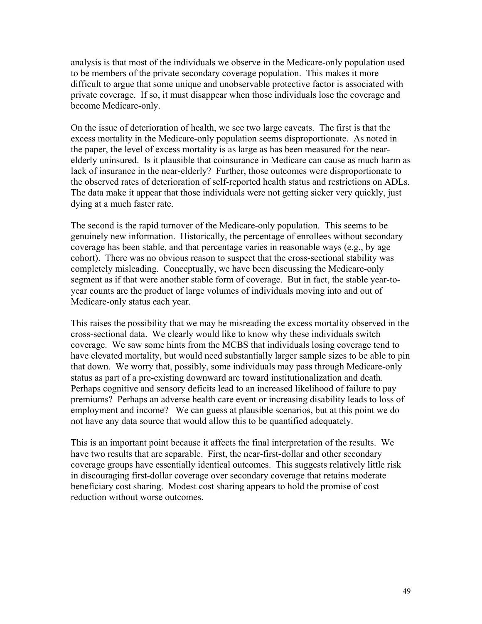analysis is that most of the individuals we observe in the Medicare-only population used to be members of the private secondary coverage population. This makes it more difficult to argue that some unique and unobservable protective factor is associated with private coverage. If so, it must disappear when those individuals lose the coverage and become Medicare-only.

On the issue of deterioration of health, we see two large caveats. The first is that the excess mortality in the Medicare-only population seems disproportionate. As noted in the paper, the level of excess mortality is as large as has been measured for the nearelderly uninsured. Is it plausible that coinsurance in Medicare can cause as much harm as lack of insurance in the near-elderly? Further, those outcomes were disproportionate to the observed rates of deterioration of self-reported health status and restrictions on ADLs. The data make it appear that those individuals were not getting sicker very quickly, just dying at a much faster rate.

The second is the rapid turnover of the Medicare-only population. This seems to be genuinely new information. Historically, the percentage of enrollees without secondary coverage has been stable, and that percentage varies in reasonable ways (e.g., by age cohort). There was no obvious reason to suspect that the cross-sectional stability was completely misleading. Conceptually, we have been discussing the Medicare-only segment as if that were another stable form of coverage. But in fact, the stable year-toyear counts are the product of large volumes of individuals moving into and out of Medicare-only status each year.

This raises the possibility that we may be misreading the excess mortality observed in the cross-sectional data. We clearly would like to know why these individuals switch coverage. We saw some hints from the MCBS that individuals losing coverage tend to have elevated mortality, but would need substantially larger sample sizes to be able to pin that down. We worry that, possibly, some individuals may pass through Medicare-only status as part of a pre-existing downward arc toward institutionalization and death. Perhaps cognitive and sensory deficits lead to an increased likelihood of failure to pay premiums? Perhaps an adverse health care event or increasing disability leads to loss of employment and income? We can guess at plausible scenarios, but at this point we do not have any data source that would allow this to be quantified adequately.

This is an important point because it affects the final interpretation of the results. We have two results that are separable. First, the near-first-dollar and other secondary coverage groups have essentially identical outcomes. This suggests relatively little risk in discouraging first-dollar coverage over secondary coverage that retains moderate beneficiary cost sharing. Modest cost sharing appears to hold the promise of cost reduction without worse outcomes.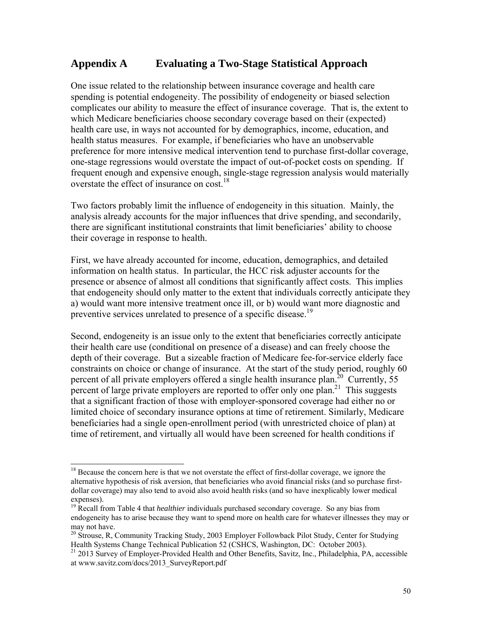# **Appendix A Evaluating a Two-Stage Statistical Approach**

One issue related to the relationship between insurance coverage and health care spending is potential endogeneity. The possibility of endogeneity or biased selection complicates our ability to measure the effect of insurance coverage. That is, the extent to which Medicare beneficiaries choose secondary coverage based on their (expected) health care use, in ways not accounted for by demographics, income, education, and health status measures. For example, if beneficiaries who have an unobservable preference for more intensive medical intervention tend to purchase first-dollar coverage, one-stage regressions would overstate the impact of out-of-pocket costs on spending. If frequent enough and expensive enough, single-stage regression analysis would materially overstate the effect of insurance on cost.<sup>18</sup>

Two factors probably limit the influence of endogeneity in this situation. Mainly, the analysis already accounts for the major influences that drive spending, and secondarily, there are significant institutional constraints that limit beneficiaries' ability to choose their coverage in response to health.

First, we have already accounted for income, education, demographics, and detailed information on health status. In particular, the HCC risk adjuster accounts for the presence or absence of almost all conditions that significantly affect costs. This implies that endogeneity should only matter to the extent that individuals correctly anticipate they a) would want more intensive treatment once ill, or b) would want more diagnostic and preventive services unrelated to presence of a specific disease.<sup>19</sup>

Second, endogeneity is an issue only to the extent that beneficiaries correctly anticipate their health care use (conditional on presence of a disease) and can freely choose the depth of their coverage. But a sizeable fraction of Medicare fee-for-service elderly face constraints on choice or change of insurance. At the start of the study period, roughly 60 percent of all private employers offered a single health insurance plan.<sup>20</sup> Currently, 55 percent of large private employers are reported to offer only one plan.<sup>21</sup> This suggests that a significant fraction of those with employer-sponsored coverage had either no or limited choice of secondary insurance options at time of retirement. Similarly, Medicare beneficiaries had a single open-enrollment period (with unrestricted choice of plan) at time of retirement, and virtually all would have been screened for health conditions if

 $\overline{a}$ 

<sup>&</sup>lt;sup>18</sup> Because the concern here is that we not overstate the effect of first-dollar coverage, we ignore the alternative hypothesis of risk aversion, that beneficiaries who avoid financial risks (and so purchase firstdollar coverage) may also tend to avoid also avoid health risks (and so have inexplicably lower medical expenses).

<sup>19</sup> Recall from Table 4 that *healthier* individuals purchased secondary coverage. So any bias from endogeneity has to arise because they want to spend more on health care for whatever illnesses they may or may not have.

<sup>&</sup>lt;sup>20</sup> Strouse, R, Community Tracking Study, 2003 Employer Followback Pilot Study, Center for Studying Health Systems Change Technical Publication 52 (CSHCS, Washington, DC: October 2003).

<sup>&</sup>lt;sup>21</sup> 2013 Survey of Employer-Provided Health and Other Benefits, Savitz, Inc., Philadelphia, PA, accessible at www.savitz.com/docs/2013\_SurveyReport.pdf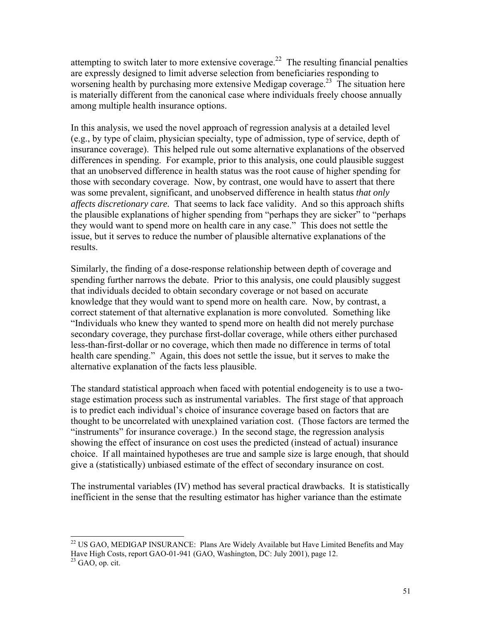attempting to switch later to more extensive coverage.<sup>22</sup> The resulting financial penalties are expressly designed to limit adverse selection from beneficiaries responding to worsening health by purchasing more extensive Medigap coverage.<sup>23</sup> The situation here is materially different from the canonical case where individuals freely choose annually among multiple health insurance options.

In this analysis, we used the novel approach of regression analysis at a detailed level (e.g., by type of claim, physician specialty, type of admission, type of service, depth of insurance coverage). This helped rule out some alternative explanations of the observed differences in spending. For example, prior to this analysis, one could plausible suggest that an unobserved difference in health status was the root cause of higher spending for those with secondary coverage. Now, by contrast, one would have to assert that there was some prevalent, significant, and unobserved difference in health status *that only affects discretionary care.* That seems to lack face validity. And so this approach shifts the plausible explanations of higher spending from "perhaps they are sicker" to "perhaps they would want to spend more on health care in any case." This does not settle the issue, but it serves to reduce the number of plausible alternative explanations of the results.

Similarly, the finding of a dose-response relationship between depth of coverage and spending further narrows the debate. Prior to this analysis, one could plausibly suggest that individuals decided to obtain secondary coverage or not based on accurate knowledge that they would want to spend more on health care. Now, by contrast, a correct statement of that alternative explanation is more convoluted. Something like "Individuals who knew they wanted to spend more on health did not merely purchase secondary coverage, they purchase first-dollar coverage, while others either purchased less-than-first-dollar or no coverage, which then made no difference in terms of total health care spending." Again, this does not settle the issue, but it serves to make the alternative explanation of the facts less plausible.

The standard statistical approach when faced with potential endogeneity is to use a twostage estimation process such as instrumental variables. The first stage of that approach is to predict each individual's choice of insurance coverage based on factors that are thought to be uncorrelated with unexplained variation cost. (Those factors are termed the "instruments" for insurance coverage.) In the second stage, the regression analysis showing the effect of insurance on cost uses the predicted (instead of actual) insurance choice. If all maintained hypotheses are true and sample size is large enough, that should give a (statistically) unbiased estimate of the effect of secondary insurance on cost.

The instrumental variables (IV) method has several practical drawbacks. It is statistically inefficient in the sense that the resulting estimator has higher variance than the estimate

 $\overline{a}$  $22$  US GAO, MEDIGAP INSURANCE: Plans Are Widely Available but Have Limited Benefits and May Have High Costs, report GAO-01-941 (GAO, Washington, DC: July 2001), page 12.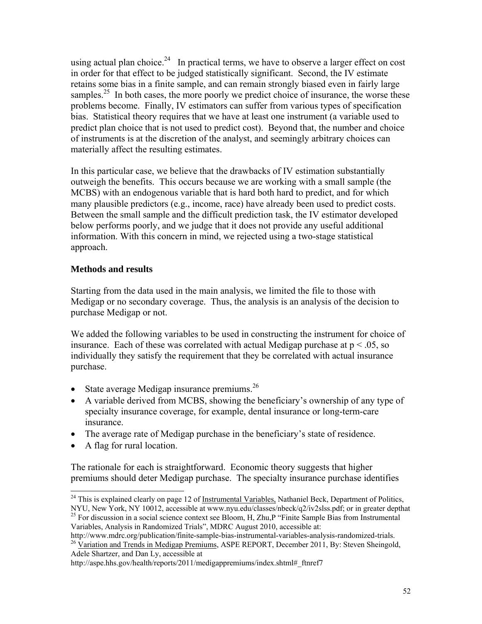using actual plan choice.<sup>24</sup> In practical terms, we have to observe a larger effect on cost in order for that effect to be judged statistically significant. Second, the IV estimate retains some bias in a finite sample, and can remain strongly biased even in fairly large samples.<sup>25</sup> In both cases, the more poorly we predict choice of insurance, the worse these problems become. Finally, IV estimators can suffer from various types of specification bias. Statistical theory requires that we have at least one instrument (a variable used to predict plan choice that is not used to predict cost). Beyond that, the number and choice of instruments is at the discretion of the analyst, and seemingly arbitrary choices can materially affect the resulting estimates.

In this particular case, we believe that the drawbacks of IV estimation substantially outweigh the benefits. This occurs because we are working with a small sample (the MCBS) with an endogenous variable that is hard both hard to predict, and for which many plausible predictors (e.g., income, race) have already been used to predict costs. Between the small sample and the difficult prediction task, the IV estimator developed below performs poorly, and we judge that it does not provide any useful additional information. With this concern in mind, we rejected using a two-stage statistical approach.

#### **Methods and results**

Starting from the data used in the main analysis, we limited the file to those with Medigap or no secondary coverage. Thus, the analysis is an analysis of the decision to purchase Medigap or not.

We added the following variables to be used in constructing the instrument for choice of insurance. Each of these was correlated with actual Medigap purchase at  $p < .05$ , so individually they satisfy the requirement that they be correlated with actual insurance purchase.

- State average Medigap insurance premiums. $^{26}$
- A variable derived from MCBS, showing the beneficiary's ownership of any type of specialty insurance coverage, for example, dental insurance or long-term-care insurance.
- The average rate of Medigap purchase in the beneficiary's state of residence.
- A flag for rural location.

 $\overline{a}$ 

The rationale for each is straightforward. Economic theory suggests that higher premiums should deter Medigap purchase. The specialty insurance purchase identifies

http://www.mdrc.org/publication/finite-sample-bias-instrumental-variables-analysis-randomized-trials. <sup>26</sup> Variation and Trends in Medigap Premiums, ASPE REPORT, December 2011, By: Steven Sheingold, Adele Shartzer, and Dan Ly, accessible at

<sup>&</sup>lt;sup>24</sup> This is explained clearly on page 12 of Instrumental Variables, Nathaniel Beck, Department of Politics, NYU, New York, NY 10012, accessible at www.nyu.edu/classes/nbeck/q2/iv2slss.pdf; or in greater depthat

<sup>&</sup>lt;sup>25</sup> For discussion in a social science context see Bloom, H, Zhu,P "Finite Sample Bias from Instrumental Variables, Analysis in Randomized Trials", MDRC August 2010, accessible at:

http://aspe.hhs.gov/health/reports/2011/medigappremiums/index.shtml# ftnref7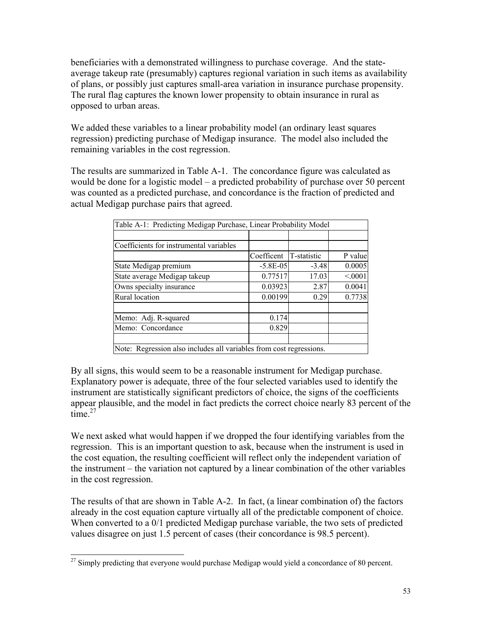beneficiaries with a demonstrated willingness to purchase coverage. And the stateaverage takeup rate (presumably) captures regional variation in such items as availability of plans, or possibly just captures small-area variation in insurance purchase propensity. The rural flag captures the known lower propensity to obtain insurance in rural as opposed to urban areas.

We added these variables to a linear probability model (an ordinary least squares regression) predicting purchase of Medigap insurance. The model also included the remaining variables in the cost regression.

The results are summarized in Table A-1. The concordance figure was calculated as would be done for a logistic model – a predicted probability of purchase over 50 percent was counted as a predicted purchase, and concordance is the fraction of predicted and actual Medigap purchase pairs that agreed.

|                                                                     | Table A-1: Predicting Medigap Purchase, Linear Probability Model |             |         |  |  |  |
|---------------------------------------------------------------------|------------------------------------------------------------------|-------------|---------|--|--|--|
|                                                                     |                                                                  |             |         |  |  |  |
| Coefficients for instrumental variables                             |                                                                  |             |         |  |  |  |
|                                                                     | Coefficent                                                       | T-statistic | P value |  |  |  |
| State Medigap premium                                               | $-5.8E - 0.5$                                                    | $-3.48$     | 0.0005  |  |  |  |
| State average Medigap takeup                                        | 0.77517                                                          | 17.03       | < 0001  |  |  |  |
| Owns specialty insurance                                            | 0.03923                                                          | 2.87        | 0.0041  |  |  |  |
| Rural location                                                      | 0.00199                                                          | 0.29        | 0.7738  |  |  |  |
| Memo: Adj. R-squared                                                | 0.174                                                            |             |         |  |  |  |
| Memo: Concordance                                                   | 0.829                                                            |             |         |  |  |  |
|                                                                     |                                                                  |             |         |  |  |  |
| Note: Regression also includes all variables from cost regressions. |                                                                  |             |         |  |  |  |

By all signs, this would seem to be a reasonable instrument for Medigap purchase. Explanatory power is adequate, three of the four selected variables used to identify the instrument are statistically significant predictors of choice, the signs of the coefficients appear plausible, and the model in fact predicts the correct choice nearly 83 percent of the time $^{27}$ 

We next asked what would happen if we dropped the four identifying variables from the regression. This is an important question to ask, because when the instrument is used in the cost equation, the resulting coefficient will reflect only the independent variation of the instrument – the variation not captured by a linear combination of the other variables in the cost regression.

The results of that are shown in Table A-2. In fact, (a linear combination of) the factors already in the cost equation capture virtually all of the predictable component of choice. When converted to a 0/1 predicted Medigap purchase variable, the two sets of predicted values disagree on just 1.5 percent of cases (their concordance is 98.5 percent).

 $\overline{a}$  $27$  Simply predicting that everyone would purchase Medigap would yield a concordance of 80 percent.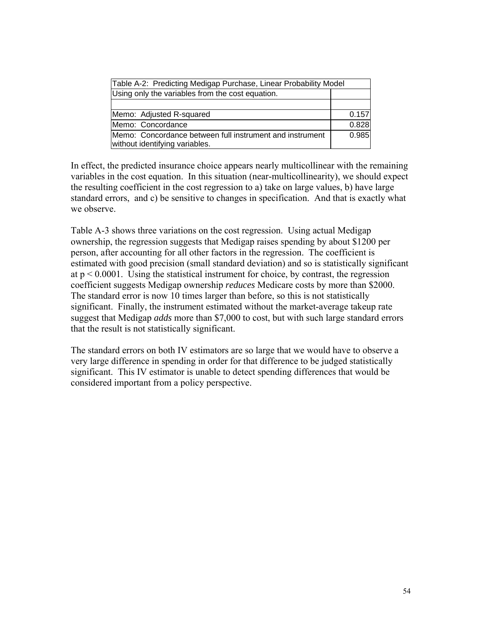| Table A-2: Predicting Medigap Purchase, Linear Probability Model                           |       |  |  |
|--------------------------------------------------------------------------------------------|-------|--|--|
| Using only the variables from the cost equation.                                           |       |  |  |
|                                                                                            |       |  |  |
| Memo: Adjusted R-squared                                                                   | 0.157 |  |  |
| Memo: Concordance                                                                          | 0.828 |  |  |
| Memo: Concordance between full instrument and instrument<br>without identifying variables. | 0.985 |  |  |

In effect, the predicted insurance choice appears nearly multicollinear with the remaining variables in the cost equation. In this situation (near-multicollinearity), we should expect the resulting coefficient in the cost regression to a) take on large values, b) have large standard errors, and c) be sensitive to changes in specification. And that is exactly what we observe.

Table A-3 shows three variations on the cost regression. Using actual Medigap ownership, the regression suggests that Medigap raises spending by about \$1200 per person, after accounting for all other factors in the regression. The coefficient is estimated with good precision (small standard deviation) and so is statistically significant at  $p \le 0.0001$ . Using the statistical instrument for choice, by contrast, the regression coefficient suggests Medigap ownership *reduces* Medicare costs by more than \$2000. The standard error is now 10 times larger than before, so this is not statistically significant. Finally, the instrument estimated without the market-average takeup rate suggest that Medigap *adds* more than \$7,000 to cost, but with such large standard errors that the result is not statistically significant.

The standard errors on both IV estimators are so large that we would have to observe a very large difference in spending in order for that difference to be judged statistically significant. This IV estimator is unable to detect spending differences that would be considered important from a policy perspective.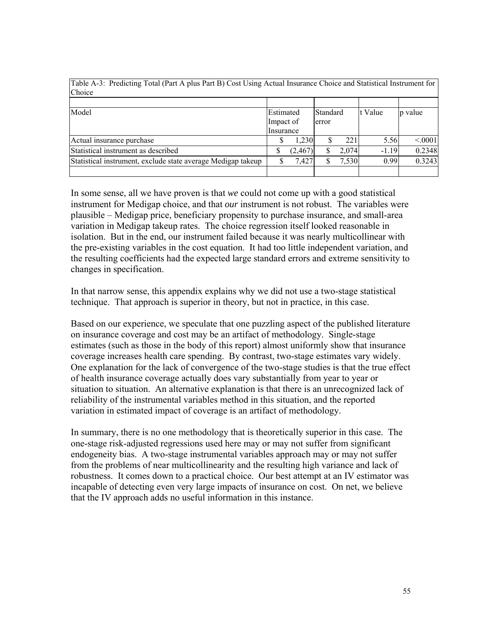| Choice                                                       |                    |                              |  |         |         |        |
|--------------------------------------------------------------|--------------------|------------------------------|--|---------|---------|--------|
|                                                              |                    |                              |  |         |         |        |
| Model                                                        |                    | Estimated<br><b>Standard</b> |  | t Value | p value |        |
|                                                              | Impact of<br>error |                              |  |         |         |        |
|                                                              | Insurance          |                              |  |         |         |        |
| Actual insurance purchase                                    |                    | 1.230                        |  | 221     | 5.56    | < 0001 |
| Statistical instrument as described                          | S                  | (2,467)                      |  | 2,074   | $-1.19$ | 0.2348 |
| Statistical instrument, exclude state average Medigap takeup |                    | 7,427                        |  | 7,530   | 0.99    | 0.3243 |
|                                                              |                    |                              |  |         |         |        |

Table A-3: Predicting Total (Part A plus Part B) Cost Using Actual Insurance Choice and Statistical Instrument for

In some sense, all we have proven is that *we* could not come up with a good statistical instrument for Medigap choice, and that *our* instrument is not robust. The variables were plausible – Medigap price, beneficiary propensity to purchase insurance, and small-area variation in Medigap takeup rates. The choice regression itself looked reasonable in isolation. But in the end, our instrument failed because it was nearly multicollinear with the pre-existing variables in the cost equation. It had too little independent variation, and the resulting coefficients had the expected large standard errors and extreme sensitivity to changes in specification.

In that narrow sense, this appendix explains why we did not use a two-stage statistical technique. That approach is superior in theory, but not in practice, in this case.

Based on our experience, we speculate that one puzzling aspect of the published literature on insurance coverage and cost may be an artifact of methodology. Single-stage estimates (such as those in the body of this report) almost uniformly show that insurance coverage increases health care spending. By contrast, two-stage estimates vary widely. One explanation for the lack of convergence of the two-stage studies is that the true effect of health insurance coverage actually does vary substantially from year to year or situation to situation. An alternative explanation is that there is an unrecognized lack of reliability of the instrumental variables method in this situation, and the reported variation in estimated impact of coverage is an artifact of methodology.

In summary, there is no one methodology that is theoretically superior in this case. The one-stage risk-adjusted regressions used here may or may not suffer from significant endogeneity bias. A two-stage instrumental variables approach may or may not suffer from the problems of near multicollinearity and the resulting high variance and lack of robustness. It comes down to a practical choice. Our best attempt at an IV estimator was incapable of detecting even very large impacts of insurance on cost. On net, we believe that the IV approach adds no useful information in this instance.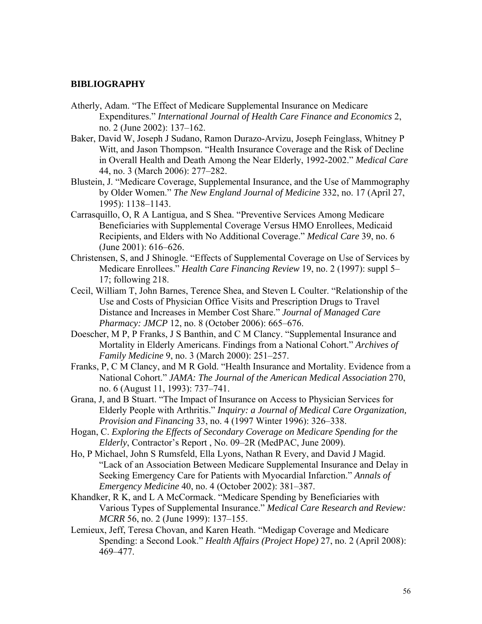#### **BIBLIOGRAPHY**

- Atherly, Adam. "The Effect of Medicare Supplemental Insurance on Medicare Expenditures." *International Journal of Health Care Finance and Economics* 2, no. 2 (June 2002): 137–162.
- Baker, David W, Joseph J Sudano, Ramon Durazo-Arvizu, Joseph Feinglass, Whitney P Witt, and Jason Thompson. "Health Insurance Coverage and the Risk of Decline in Overall Health and Death Among the Near Elderly, 1992-2002." *Medical Care* 44, no. 3 (March 2006): 277–282.
- Blustein, J. "Medicare Coverage, Supplemental Insurance, and the Use of Mammography by Older Women." *The New England Journal of Medicine* 332, no. 17 (April 27, 1995): 1138–1143.
- Carrasquillo, O, R A Lantigua, and S Shea. "Preventive Services Among Medicare Beneficiaries with Supplemental Coverage Versus HMO Enrollees, Medicaid Recipients, and Elders with No Additional Coverage." *Medical Care* 39, no. 6 (June 2001): 616–626.
- Christensen, S, and J Shinogle. "Effects of Supplemental Coverage on Use of Services by Medicare Enrollees." *Health Care Financing Review* 19, no. 2 (1997): suppl 5– 17; following 218.
- Cecil, William T, John Barnes, Terence Shea, and Steven L Coulter. "Relationship of the Use and Costs of Physician Office Visits and Prescription Drugs to Travel Distance and Increases in Member Cost Share." *Journal of Managed Care Pharmacy: JMCP* 12, no. 8 (October 2006): 665–676.
- Doescher, M P, P Franks, J S Banthin, and C M Clancy. "Supplemental Insurance and Mortality in Elderly Americans. Findings from a National Cohort." *Archives of Family Medicine* 9, no. 3 (March 2000): 251–257.
- Franks, P, C M Clancy, and M R Gold. "Health Insurance and Mortality. Evidence from a National Cohort." *JAMA: The Journal of the American Medical Association* 270, no. 6 (August 11, 1993): 737–741.
- Grana, J, and B Stuart. "The Impact of Insurance on Access to Physician Services for Elderly People with Arthritis." *Inquiry: a Journal of Medical Care Organization, Provision and Financing* 33, no. 4 (1997 Winter 1996): 326–338.
- Hogan, C. *Exploring the Effects of Secondary Coverage on Medicare Spending for the Elderly*, Contractor's Report , No. 09–2R (MedPAC, June 2009).
- Ho, P Michael, John S Rumsfeld, Ella Lyons, Nathan R Every, and David J Magid. "Lack of an Association Between Medicare Supplemental Insurance and Delay in Seeking Emergency Care for Patients with Myocardial Infarction." *Annals of Emergency Medicine* 40, no. 4 (October 2002): 381–387.
- Khandker, R K, and L A McCormack. "Medicare Spending by Beneficiaries with Various Types of Supplemental Insurance." *Medical Care Research and Review: MCRR* 56, no. 2 (June 1999): 137–155.
- Lemieux, Jeff, Teresa Chovan, and Karen Heath. "Medigap Coverage and Medicare Spending: a Second Look." *Health Affairs (Project Hope)* 27, no. 2 (April 2008): 469–477.